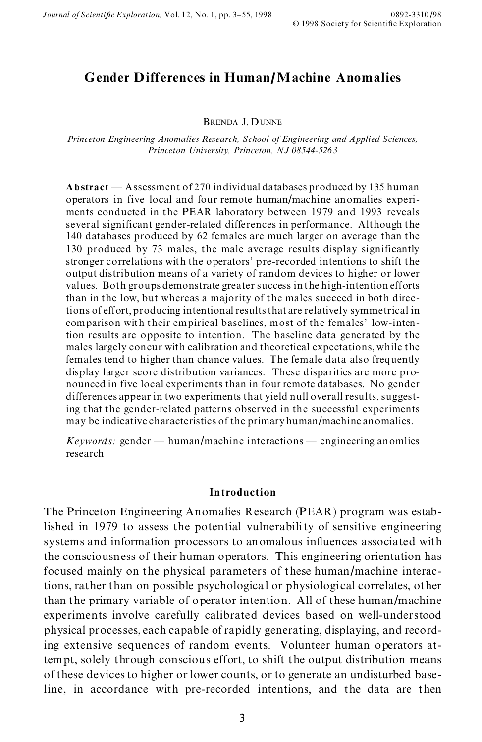# **Gender Differences in Human/Machine Anomalies**

BRENDA J. DUNNE

*Princeton Engineering Anomalies Research, School of Engineering and Applied Sciences, Princeton University, Princeton, NJ 08544-5263*

Abstract — Assessment of 270 individual databases produced by 135 human operators in five local and four remote human/machine anomalies experi ments conducted in the PEAR laboratory between 1979 and 1993 reveals several significant gender-related differences in performance. Although the 140 databases produced by 62 females are much larger on average than the 130 produced by 73 males, the male average results display significantly stronger correlations with the operators' pre-recorded intentions to shift the output distribution means of a variety of random devices to higher or lower values. Both groups demonstrate greater success in the high-intention efforts than in the low, but whereas a majority of the males succeed in both directions of effort, producing intentional results that are relatively symmetrical in comparison with their empirical baselines, most of the females' low-intention results are opposite to intention. The baseline data generated by the males largely concur with calibration and theoretical expectations, while the females tend to higher than chance values. The female data also frequently display larger score distribution variances. These disparities are more pro nounced in five local experiments than in four remote databases. No gender differences appear in two experiments that yield null overall results, suggesting that the gender-related patterns observed in the successful experiments may be indicative characteristics of the primary human/machine anomalies.

 $Keywords: gender - human/machine interactions - engineering anomalies$ research

## **Introduction**

The Princeton Engineering Anomalies Research (PEAR) program was established in 1979 to assess the potential vulnerability of sensitive engineering systems and information processors to anomalous influences associated with the consciousness of their human operators. This engineering orientation has focused mainly on the physical parameters of these human/machine interactions, rather than on possible psychological or physiological correlates, other than the primary variable of operator intention. All of these human/machine experiments involve carefully calibrated devices based on well-understood physical processes, each capable of rapidly generating, displaying, and recording extensive sequences of random events. Volunteer human operators attempt, solely through conscious effort, to shift the output distribution means of these devices to higher or lower counts, or to generate an undisturbed baseline, in accordance with pre-recorded intentions, and the data are then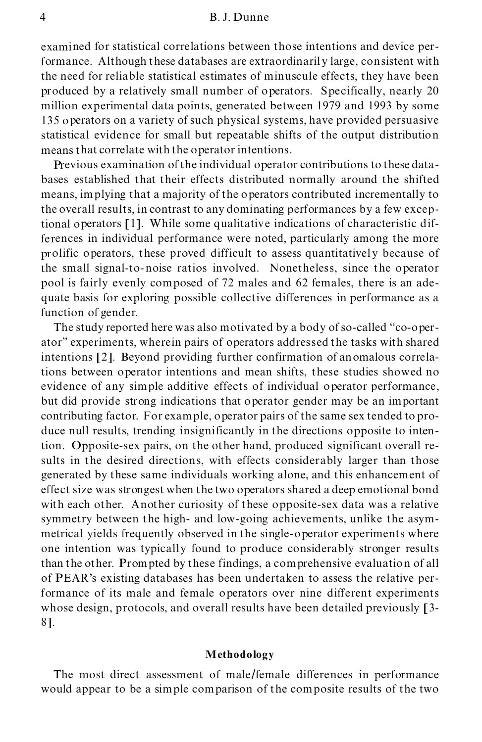#### 4 B. J. Dunne

examined for statistical correlations between those intentions and device performance. Although these databases are extraordinaril y large, consistent with the need for reliable statistical estimates of minuscule effects, they have been produced by a relatively small number of operators. Specifically, nearly 20 million experimental data points, generated between 1979 and 1993 by some 135 operators on a variety of such physical systems, have provided persuasive statistical evidence for small but repeatable shifts of the output distribution means that correlate with the operator intentions.

Previous examination of the individual operator contributions to these data bases established that their effects distributed normally around the shifted means, implying that a majority of the operators contributed incrementally to the overall results, in contrast to any dominating performances by a few exceptional operators [1]. While some qualitative indications of characteristic differences in individual performance were noted, particularly among the more prolific operators, these proved difficult to assess quantitatively because of the small signal-to-noise ratios involved. Nonetheless, since the operator pool is fairly evenly composed of 72 males and 62 females, there is an ade quate basis for exploring possible collective differences in performance as a function of gender.

The study reported here was also motivated by a body of so-called "co-operatorº experiments, wherein pairs of operators addressed the tasks with shared intentions [2]. Beyond providing further confirmation of anomalous correlations between operator intentions and mean shifts, these studies showed no evidence of any simple additive effects of individual operator performance, but did provide strong indications that operator gender may be an important contributing factor. For example, operator pairs of the same sex tended to pro duce null results, trending insignificantly in the directions opposite to intention. Opposite-sex pairs, on the other hand, produced significant overall results in the desired directions, with effects considerably larger than those generated by these same individuals working alone, and this enhancement of effect size was strongest when the two operators shared a deep emotional bond with each other. Another curiosity of these opposite-sex data was a relative symmetry between the high- and low-going achievements, unlike the asym metrical yields frequently observed in the single-operator experiments where one intention was typically found to produce considerably stronger results than the other. Prompted by these findings, a comprehensive evaluation of all of PEAR's existing databases has been undertaken to assess the relative performance of its male and female operators over nine different experiments whose design, protocols, and overall results have been detailed previously [3-1]. 8].

### **Methodology**

The most direct assessment of male/female differences in performance would appear to be a simple comparison of the composite results of the two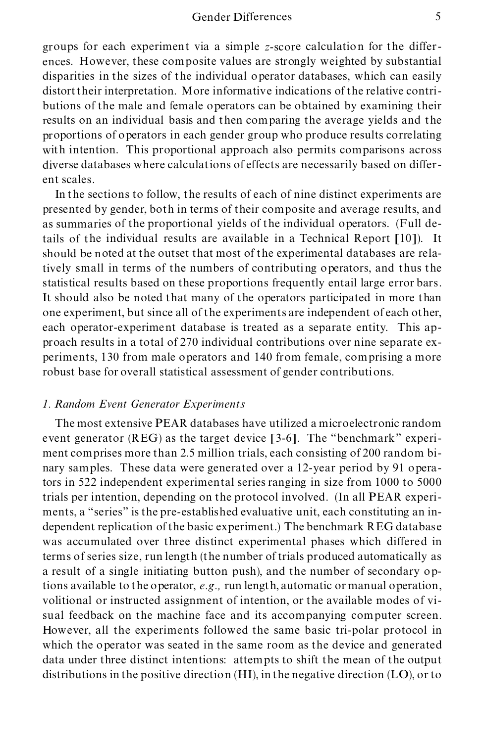## Gender Differences 5

groups for each experiment via a simple *z*-score calculation for the differ ences. However, these composite values are strongly weighted by substantial disparities in the sizes of the individual operator databases, which can easily distort their interpretation. More informative indications of the relative contri butions of the male and female operators can be obtained by examining their results on an individual basis and then comparing the average yields and the proportions of operators in each gender group who produce results correlating with intention. This proportional approach also permits comparisons across diverse databases where calculations of effects are necessarily based on differ ent scales.

In the sections to follow, the results of each of nine distinct experiments are presented by gender, both in terms of their composite and average results, and as summaries of the proportional yields of the individual operators. (Full details of the individual results are available in a Technical Report [10]). It should be noted at the outset that most of the experimental databases are relatively small in terms of the numbers of contributing operators, and thus the statistical results based on these proportions frequently entail large error bars. It should also be noted that many of the operators participated in more than one experiment, but since all of the experiments are independent of each other, each operator-experiment database is treated as a separate entity. This ap proach results in a total of 270 individual contributions over nine separate ex periments, 130 from male operators and 140 from female, comprising a more robust base for overall statistical assessment of gender contributions.

## *1. Random Event Generator Experiments*

The most extensive PEAR databases have utilized a microelectronic random event generator (REG) as the target device [3-6]. The "benchmark" experiment comprises more than 2.5 million trials, each consisting of 200 random bi nary samples. These data were generated over a 12-year period by 91 operators in 522 independent experimental series ranging in size from 1000 to 5000 trials per intention, depending on the protocol involved. (In all PEAR experi ments, a "series" is the pre-established evaluative unit, each constituting an independent replication of the basic experiment.) The benchmark REG database was accumulated over three distinct experimental phases which differed in terms of series size, run length (the number of trials produced automatically as a result of a single initiating button push), and the number of secondary options available to the operator, *e.g.,* run length, automatic or manual operation, volitional or instructed assignment of intention, or the available modes of visual feedback on the machine face and its accompanying computer screen. However, all the experiments followed the same basic tri-polar protocol in which the operator was seated in the same room as the device and generated data under three distinct intentions: attempts to shift the mean of the output distributions in the positive direction (HI), in the negative direction (LO), or to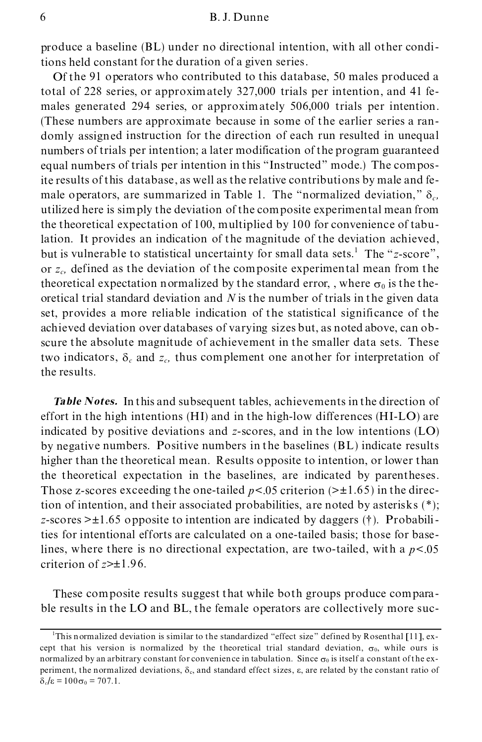#### 6 B. J. Dunne

produce a baseline (BL) under no directional intention, with all other conditions held constant for the duration of a given series.

Of the 91 operators who contributed to this database, 50 males produced a total of 228 series, or approximately 327,000 trials per intention, and 41 fe males generated 294 series, or approximately 506,000 trials per intention. (These numbers are approximate because in some of the earlier series a ran domly assigned instruction for the direction of each run resulted in unequal numbers of trials per intention; a later modification of the program guaranteed equal numbers of trials per intention in this "Instructed" mode.) The composite results of this database , as well as the relative contributions by male and fe male operators, are summarized in Table 1. The "normalized deviation,"  $\delta_c$ , utilized here is simply the deviation of the composite experimental mean from the theoretical expectation of 100, multiplied by 100 for convenience of tabulation. It provides an indication of the magnitude of the deviation achieved, but is vulnerable to statistical uncertainty for small data sets.<sup>1</sup> The "z-score", or *zc,* defined as the deviation of the composite experimental mean from the theoretical expectation normalized by the standard error, , where  $\sigma_0$  is the theoretical trial standard deviation and *N* is the number of trials in the given data set, provides a more reliable indication of the statistical significance of the achieved deviation over databases of varying sizes but, as noted above, can obscure the absolute magnitude of achievement in the smaller data sets. These two indicators,  $\delta_c$  and  $z_c$ , thus complement one another for interpretation of the results.

*Table Notes.* In this and subsequent tables, achievements in the direction of effort in the high intentions (HI) and in the high-low differences (HI-LO) are indicated by positive deviations and *z*-scores, and in the low intentions (LO) by negative numbers. Positive numbers in the baselines (BL) indicate results higher than the theoretical mean. Results opposite to intention, or lower than the theoretical expectation in the baselines, are indicated by parentheses. Those z-scores exceeding the one-tailed  $p < 0.05$  criterion ( $> \pm 1.65$ ) in the direction of intention, and their associated probabilities, are noted by asterisks  $(*)$ ; *z*-scores >±1.65 opposite to intention are indicated by daggers (²). Probabilities for intentional efforts are calculated on a one-tailed basis; those for baselines, where there is no directional expectation, are two-tailed, with a  $p < 0.05$ criterion of *z*>±1.96.

These composite results suggest that while both groups produce compara ble results in the LO and BL, the female operators are collectively more suc-

<sup>&</sup>lt;sup>1</sup>This normalized deviation is similar to the standardized "effect size" defined by Rosenthal [11], except that his version is normalized by the theoretical trial standard deviation,  $\sigma_0$ , while ours is normalized by an arbitrary constant for convenience in tabulation. Since  $\sigma_0$  is itself a constant of the experiment, the normalized deviations,  $\delta_c$ , and standard effect sizes,  $\varepsilon$ , are related by the constant ratio of  $\delta_c/\epsilon = 100\sigma_0 = 707.1.$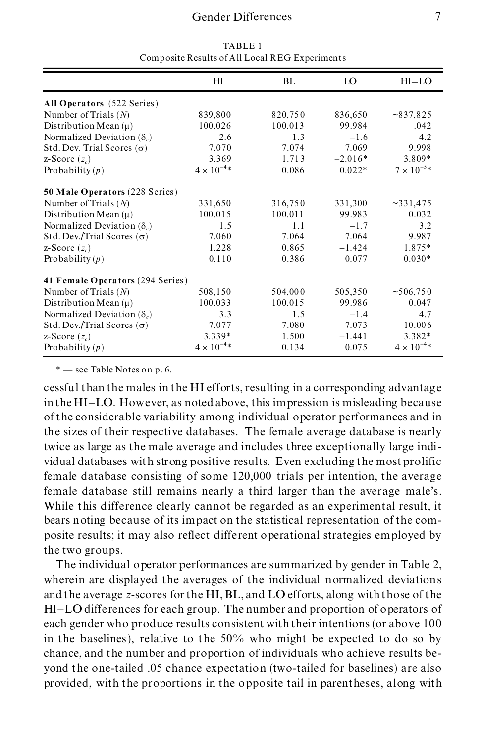# Gender Differences 7

|                                       | HI                   | BL      | LO        | $HI-LO$             |
|---------------------------------------|----------------------|---------|-----------|---------------------|
| All Operators (522 Series)            |                      |         |           |                     |
| Number of Trials $(N)$                | 839,800              | 820,750 | 836,650   | $\sim 837,825$      |
| Distribution Mean $(\mu)$             | 100.026              | 100.013 | 99.984    | .042                |
| Normalized Deviation $(\delta_c)$     | 2.6                  | 1.3     | $-1.6$    | 4.2                 |
| Std. Dev. Trial Scores ( $\sigma$ )   | 7.070                | 7.074   | 7.069     | 9.998               |
| z-Score $(z_c)$                       | 3.369                | 1.713   | $-2.016*$ | 3.809*              |
| Probability $(p)$                     | $4 \times 10^{-4} *$ | 0.086   | $0.022*$  | $7 \times 10^{-5*}$ |
| <b>50 Male Operators (228 Series)</b> |                      |         |           |                     |
| Number of Trials $(N)$                | 331,650              | 316,750 | 331,300   | ~2331,475           |
| Distribution Mean $(\mu)$             | 100.015              | 100.011 | 99.983    | 0.032               |
| Normalized Deviation $(\delta_c)$     | 1.5                  | 1.1     | $-1.7$    | 3.2                 |
| Std. Dev./Trial Scores ( $\sigma$ )   | 7.060                | 7.064   | 7.064     | 9.987               |
| z-Score $(z_c)$                       | 1.228                | 0.865   | $-1.424$  | 1.875*              |
| Probability $(p)$                     | 0.110                | 0.386   | 0.077     | $0.030*$            |
| 41 Female Operators (294 Series)      |                      |         |           |                     |
| Number of Trials $(N)$                | 508,150              | 504,000 | 505,350   | ~506,750            |
| Distribution Mean $(\mu)$             | 100.033              | 100.015 | 99.986    | 0.047               |
| Normalized Deviation $(\delta_c)$     | 3.3                  | 1.5     | $-1.4$    | 4.7                 |
| Std. Dev./Trial Scores $(\sigma)$     | 7.077                | 7.080   | 7.073     | 10.006              |
| z-Score $(z_c)$                       | 3.339*               | 1.500   | $-1.441$  | 3.382*              |
| Probability $(p)$                     | $4 \times 10^{-4*}$  | 0.134   | 0.075     | $4 \times 10^{-4*}$ |

TABLE 1 Composite Results of All Local REG Experiments

\* – see Table Notes on p. 6.

cessful than the males in the HI efforts, resulting in a corresponding advantage in the HI-LO. However, as noted above, this impression is misleading because of the considerable variability among individual operator performances and in the sizes of their respective databases. The female average database is nearly twice as large as the male average and includes three exceptionally large indi vidual databases with strong positive results. Even excluding the most prolific female database consisting of some 120,000 trials per intention, the average female database still remains nearly a third larger than the average male's. While this difference clearly cannot be regarded as an experimental result, it bears noting because of its impact on the statistical representation of the com posite results; it may also reflect different operational strategies employed by the two groups.

The individual operator performances are summarized by gender in Table 2, wherein are displayed the averages of the individual normalized deviations and the average *z*-scores for the HI, BL, and LO efforts, along with those of the HI-LO differences for each group. The number and proportion of operators of each gender who produce results consistent with their intentions (or above 100 in the baselines), relative to the 50% who might be expected to do so by chance, and the number and proportion of individuals who achieve results be yond the one-tailed .05 chance expectation (two-tailed for baselines) are also provided, with the proportions in the opposite tail in parentheses, along with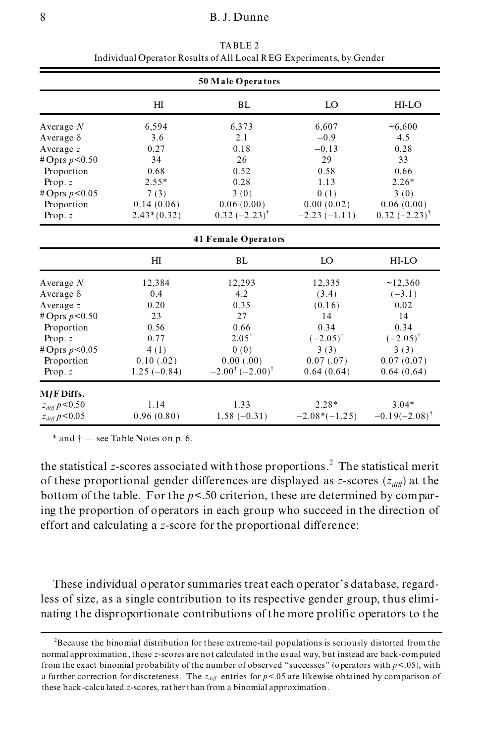|                                  |                | 50 Male Operators                      |                     |                             |  |
|----------------------------------|----------------|----------------------------------------|---------------------|-----------------------------|--|
|                                  | H <sub>I</sub> | BL                                     | LO                  | HI-LO                       |  |
| Average $N$                      | 6,594          | 6,373                                  | 6,607               | ~16,600                     |  |
| Average $\delta$                 | 3.6            | 2.1                                    | $-0.9$              | 4.5                         |  |
| Average z                        | 0.27           | 0.18                                   | $-0.13$             | 0.28                        |  |
| #Oprs $p < 0.50$                 | 34             | 26                                     | 29                  | 33                          |  |
| Proportion                       | 0.68           | 0.52                                   | 0.58                | 0.66                        |  |
| Prop. $z$                        | $2.55*$        | 0.28                                   | 1.13                | $2.26*$                     |  |
| #Oprs $p < 0.05$                 | 7(3)           | 3(0)                                   | 0(1)                | 3(0)                        |  |
| Proportion                       | 0.14(0.06)     | 0.06(0.00)                             | 0.00(0.02)          | 0.06(0.00)                  |  |
| Prop. $z$                        | $2.43*(0.32)$  | $0.32 (-2.23)^{t}$                     | $-2.23(-1.11)$      | $0.32 (-2.23)^{\dagger}$    |  |
| <b>41 Female Operators</b>       |                |                                        |                     |                             |  |
|                                  | H <sub>I</sub> | BL                                     | LO                  | HI-LO                       |  |
| Average $N$                      | 12,384         | 12,293                                 | 12,335              | ~12,360                     |  |
| Average $\delta$                 | 0.4            | 4.2                                    | (3.4)               | $(-3.1)$                    |  |
| Average z                        | 0.20           | 0.35                                   | (0.16)              | 0.02                        |  |
| #Oprs $p < 0.50$                 | 23             | 27                                     | 14                  | 14                          |  |
| Proportion                       | 0.56           | 0.66                                   | 0.34                | 0.34                        |  |
| Prop. $z$                        | 0.77           | $2.05^+$                               | $(-2.05)^{\dagger}$ | $(-2.05)^{\dagger}$         |  |
| #Oprs $p < 0.05$                 | 4(1)           | 0(0)                                   | 3(3)                | 3(3)                        |  |
| Proportion                       | 0.10(0.02)     | 0.00(0.00)                             | 0.07(0.07)          | 0.07(0.07)                  |  |
| Prop. $z$                        | $1.25(-0.84)$  | $-2.00^{\dagger}$ (-2.00) <sup>†</sup> | 0.64(0.64)          | 0.64(0.64)                  |  |
| M/F Diffs.                       |                |                                        |                     |                             |  |
| $z_{\it diff} \, p \! < \! 0.50$ | 1.14           | 1.33                                   | $2.28*$             | $3.04*$                     |  |
| $z_{\it diff} \, p \! < \! 0.05$ | 0.96(0.80)     | $1.58(-0.31)$                          | $-2.08*(-1.25)$     | $-0.19(-2.08)$ <sup>†</sup> |  |

TABLE 2 Individual Operator Results of All Local REG Experiments, by Gender

 $*$  and  $\dagger$   $-$  see Table Notes on p. 6.

the statistical *z*-scores associated with those proportions.<sup>2</sup> The statistical merit of these proportional gender differences are displayed as *z*-scores  $(z_{diff})$  at the bottom of the table. For the  $p < .50$  criterion, these are determined by comparing the proportion of operators in each group who succeed in the direction of effort and calculating a *z*-score for the proportional difference:

These individual operator summaries treat each operator's database, regardless of size, as a single contribution to its respective gender group, thus elimi nating the disproportionate contributions of the more prolific operators to the

<sup>&</sup>lt;sup>2</sup>Because the binomial distribution for these extreme-tail populations is seriously distorted from the normal approximation , these *z*-scores are not calculated in the usual way, but instead are back-computed from the exact binomial probability of the number of observed "successes" (operators with  $p < .05$ ), with a further correction for discreteness. The  $z_{diff}$  entries for  $p < 0.05$  are likewise obtained by comparison of these back-calcu lated *z*-scores, rather than from a binomial approximation.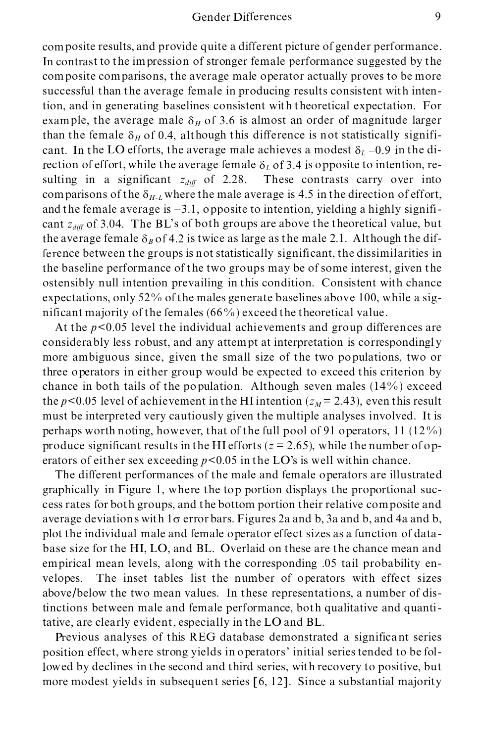composite results, and provide quite a different picture of gender performance. In contrast to the impression of stronger female performance suggested by the composite comparisons, the average male operator actually proves to be more successful than the average female in producing results consistent with intention, and in generating baselines consistent with theoretical expectation. For example, the average male  $\delta_H$  of 3.6 is almost an order of magnitude larger than the female  $\delta_H$  of 0.4, although this difference is not statistically significant. In the LO efforts, the average male achieves a modest  $\delta_L$  –0.9 in the direction of effort, while the average female  $\delta_L$  of 3.4 is opposite to intention, resulting in a significant  $z_{diff}$  of 2.28. These contrasts carry over into comparisons of the  $\delta_{H-L}$  where the male average is 4.5 in the direction of effort, and the female average is  $-3.1$ , opposite to intention, yielding a highly significant *zdiff* of 3.04. The BL's of both groups are above the theoretical value, but the average female  $\delta_B$  of 4.2 is twice as large as the male 2.1. Although the difference between the groups is not statistically significant, the dissimilarities in the baseline performance of the two groups may be of some interest, given the ostensibly null intention prevailing in this condition. Consistent with chance expectations, only 52% of the males generate baselines above 100, while a sig nificant majority of the females (66%) exceed the theoretical value.

At the *p*<0.05 level the individual achievements and group differences are considerably less robust, and any attempt at interpretation is correspondingl y more ambiguous since, given the small size of the two populations, two or three operators in either group would be expected to exceed this criterion by chance in both tails of the population. Although seven males  $(14\%)$  exceed the  $p < 0.05$  level of achievement in the HI intention ( $z_M$  = 2.43), even this result must be interpreted very cautiously given the multiple analyses involved. It is perhaps worth noting, however, that of the full pool of 91 operators, 11 (12%) produce significant results in the HI efforts  $(z = 2.65)$ , while the number of operators of either sex exceeding  $p < 0.05$  in the LO's is well within chance.

The different performances of the male and female operators are illustrated graphically in Figure 1, where the top portion displays the proportional suc cess rates for both groups, and the bottom portion their relative composite and average deviations with  $1\sigma$  error bars. Figures 2a and b, 3a and b, and 4a and b, plot the individual male and female operator effect sizes as a function of data base size for the HI, LO, and BL. Overlaid on these are the chance mean and empirical mean levels, along with the corresponding .05 tail probability en velopes. The inset tables list the number of operators with effect sizes above/below the two mean values. In these representations, a number of distinctions between male and female performance, both qualitative and quantitative, are clearly evident, especially in the LO and BL.

Previous analyses of this REG database demonstrated a significant series position effect, where strong yields in operators' initial series tended to be followed by declines in the second and third series, with recovery to positive, but more modest yields in subsequent series [6, 12]. Since a substantial majority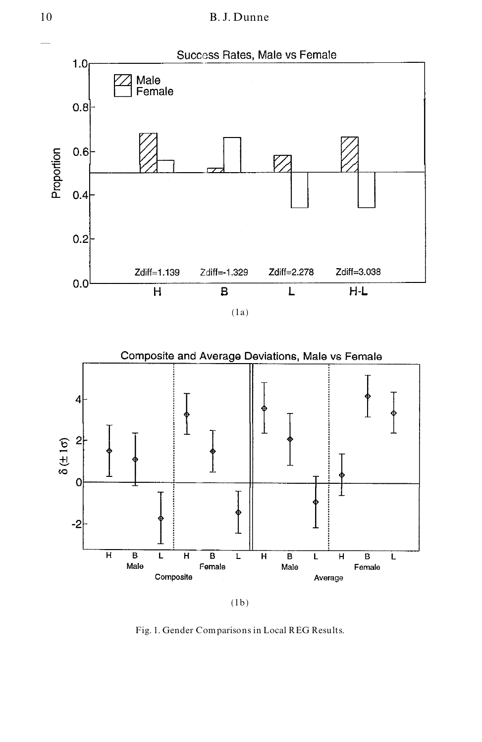



Fig. 1. Gender Comparisons in Local REG Results.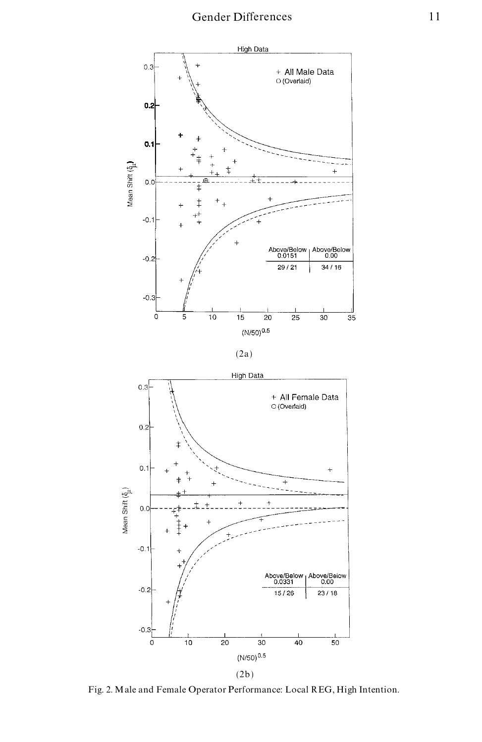





Fig. 2. Male and Female Operator Performance: Local REG, High Intention.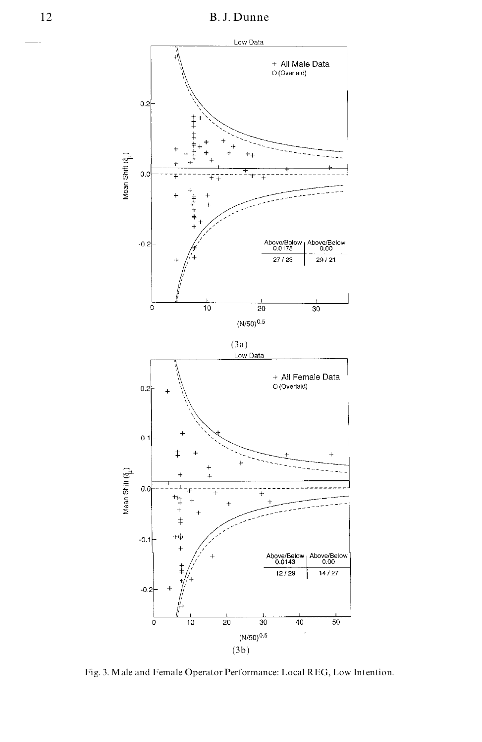

Fig. 3. Male and Female Operator Performance: Local REG, Low Intention.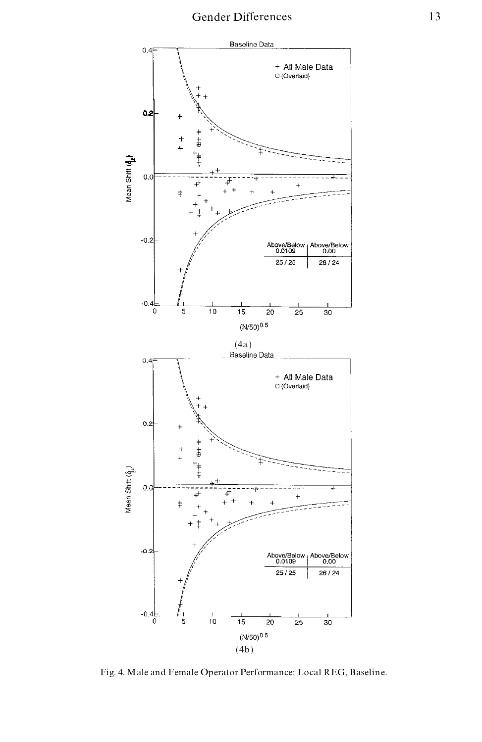

Fig. 4. Male and Female Operator Performance: Local REG, Baseline.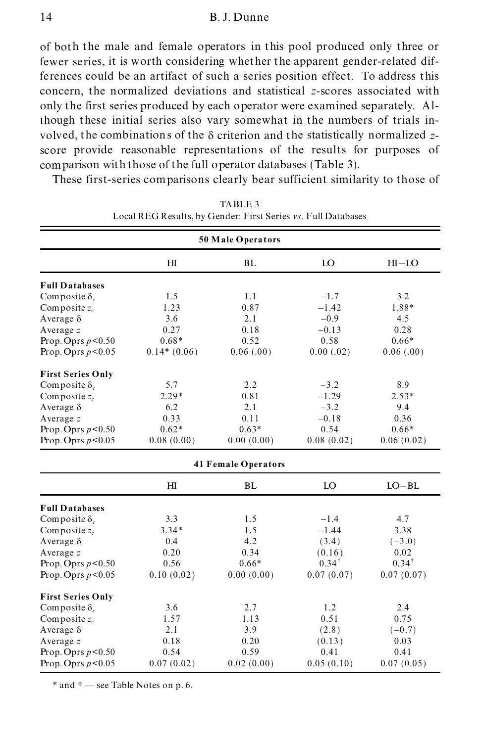of both the male and female operators in this pool produced only three or fewer series, it is worth considering whether the apparent gender-related differences could be an artifact of such a series position effect. To address this concern, the normalized deviations and statistical *z*-scores associated with only the first series produced by each operator were examined separately. Although these initial series also vary somewhat in the numbers of trials in volved, the combinations of the  $\delta$  criterion and the statistically normalized zscore provide reasonable representations of the results for purposes of comparison with those of the full operator databases (Table 3).

These first-series comparisons clearly bear sufficient similarity to those of

|                          | 50 Male Operators |                            |                  |            |  |  |
|--------------------------|-------------------|----------------------------|------------------|------------|--|--|
|                          | H <sub>I</sub>    | <b>BL</b>                  | LO               | $HI-LO$    |  |  |
| <b>Full Databases</b>    |                   |                            |                  |            |  |  |
| Composite $\delta_c$     | 1.5               | 1.1                        | $-1.7$           | 3.2        |  |  |
| Composite $z_c$          | 1.23              | 0.87                       | $-1.42$          | 1.88*      |  |  |
| Average $\delta$         | 3.6               | 2.1                        | $-0.9$           | 4.5        |  |  |
| Average $z$              | 0.27              | 0.18                       | $-0.13$          | 0.28       |  |  |
| Prop. Oprs $p<0.50$      | $0.68*$           | 0.52                       | 0.58             | $0.66*$    |  |  |
| Prop. Oprs $p < 0.05$    | $0.14*(0.06)$     | 0.06(0.00)                 | 0.00(.02)        | 0.06(0.00) |  |  |
| <b>First Series Only</b> |                   |                            |                  |            |  |  |
| Composite $\delta_c$     | 5.7               | 2.2                        | $-3.2$           | 8.9        |  |  |
| Composite $z_c$          | $2.29*$           | 0.81                       | $-1.29$          | $2.53*$    |  |  |
| Average $\delta$         | 6.2               | 2.1                        | $-3.2$           | 9.4        |  |  |
| Average z                | 0.33              | 0.11                       | $-0.18$          | 0.36       |  |  |
| Prop. Oprs $p < 0.50$    | $0.62*$           | $0.63*$                    | 0.54             | $0.66*$    |  |  |
| Prop. Oprs $p < 0.05$    | 0.08(0.00)        | 0.00(0.00)                 | 0.08(0.02)       | 0.06(0.02) |  |  |
|                          |                   | <b>41 Female Operators</b> |                  |            |  |  |
|                          | H <sub>I</sub>    | BL                         | LO               | $LO-BL$    |  |  |
| <b>Full Databases</b>    |                   |                            |                  |            |  |  |
| Composite $\delta_c$     | 3.3               | 1.5                        | $-1.4$           | 4.7        |  |  |
| Composite $z_c$          | $3.34*$           | 1.5                        | $-1.44$          | 3.38       |  |  |
| Average $\delta$         | 0.4               | 4.2                        | (3.4)            | $(-3.0)$   |  |  |
| Average $z$              | 0.20              | 0.34                       | (0.16)           | 0.02       |  |  |
| Prop. Oprs $p < 0.50$    | 0.56              | $0.66*$                    | $0.34^{\dagger}$ | $0.34^+$   |  |  |
| Prop. Oprs $p < 0.05$    | 0.10(0.02)        | 0.00(0.00)                 | 0.07(0.07)       | 0.07(0.07) |  |  |
| <b>First Series Only</b> |                   |                            |                  |            |  |  |
| Composite $\delta_c$     | 3.6               | 2.7                        | 1.2              | 2.4        |  |  |
| Composite $z_c$          | 1.57              | 1.13                       | 0.51             | 0.75       |  |  |
| Average $\delta$         | 2.1               | 3.9                        | (2.8)            | $(-0.7)$   |  |  |
| Average $z$              | 0.18              | 0.20                       | (0.13)           | 0.03       |  |  |
| Prop. Oprs $p<0.50$      | 0.54              | 0.59                       | 0.41             | 0.41       |  |  |
| Prop. Oprs $p < 0.05$    | 0.07(0.02)        | 0.02(0.00)                 | 0.05(0.10)       | 0.07(0.05) |  |  |

TABLE 3 Local REG Results, by Gender: First Series *vs.* Full Databases

 $*$  and  $\dagger$  — see Table Notes on p. 6.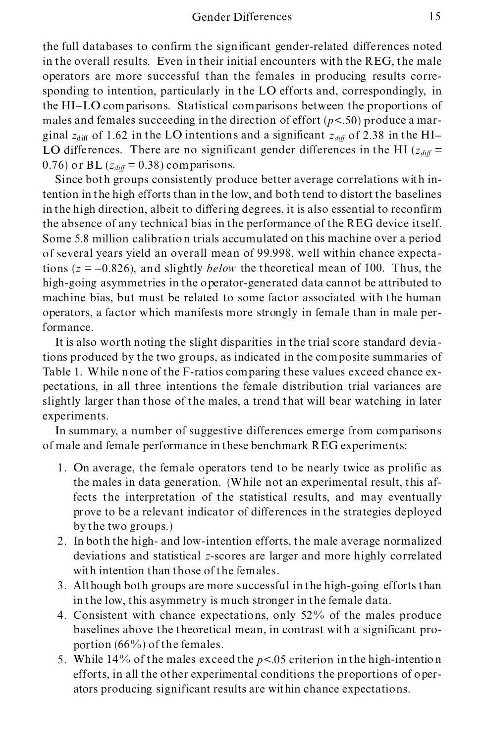the full databases to confirm the significant gender-related differences noted in the overall results. Even in their initial encounters with the REG, the male operators are more successful than the females in producing results corresponding to intention, particularly in the LO efforts and, correspondingly, in the HI-LO comparisons. Statistical comparisons between the proportions of males and females succeeding in the direction of effort (*p*<.50) produce a mar ginal  $z_{\text{diff}}$  of 1.62 in the LO intentions and a significant  $z_{\text{diff}}$  of 2.38 in the HI-LO differences. There are no significant gender differences in the HI ( $z_{diff}$  = 0.76) or BL  $(z_{diff} = 0.38)$  comparisons.

Since both groups consistently produce better average correlations with intention in the high efforts than in the low, and both tend to distort the baselines in the high direction, albeit to differing degrees, it is also essential to reconfirm the absence of any technical bias in the performance of the REG device itself. Some 5.8 million calibration trials accumulated on this machine over a period of several years yield an overall mean of 99.998, well within chance expectations ( $z = -0.826$ ), and slightly *below* the theoretical mean of 100. Thus, the high-going asymmetries in the operator-generated data cannot be attributed to machine bias, but must be related to some factor associated with the human operators, a factor which manifests more strongly in female than in male performance.

It is also worth noting the slight disparities in the trial score standard deviations produced by the two groups, as indicated in the composite summaries of Table 1. While none of the F-ratios comparing these values exceed chance ex pectations, in all three intentions the female distribution trial variances are slightly larger than those of the males, a trend that will bear watching in later experiments.

In summary, a number of suggestive differences emerge from comparisons of male and female performance in these benchmark REG experiments:

- 1. On average, the female operators tend to be nearly twice as prolific as the males in data generation. (While not an experimental result, this affects the interpretation of the statistical results, and may eventually prove to be a relevant indicator of differences in the strategies deployed by the two groups.)
- 2. In both the high- and low-intention efforts, the male average normalized deviations and statistical *z*-scores are larger and more highly correlated with intention than those of the females.
- 3. Although both groups are more successful in the high-going efforts than in the low, this asymmetry is much stronger in the female data.
- 4. Consistent with chance expectations, only 52% of the males produce baselines above the theoretical mean, in contrast with a significant pro portion (66%) of the females.
- 5. While 14% of the males exceed the *p*<.05 criterion in the high-intention efforts, in all the other experimental conditions the proportions of oper ators producing significant results are within chance expectations.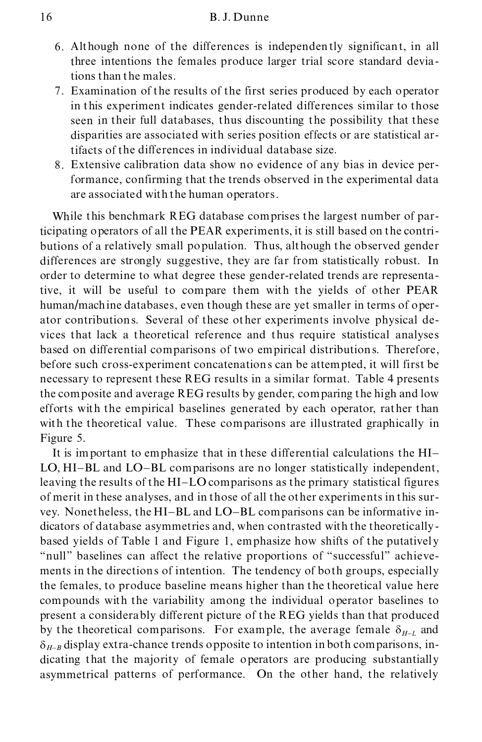- 6. Although none of the differences is independently significant, in all three intentions the females produce larger trial score standard deviations than the males.
- 7. Examination of the results of the first series produced by each operator in this experiment indicates gender-related differences similar to those seen in their full databases, thus discounting the possibility that these disparities are associated with series position effects or are statistical artifacts of the differences in individual database size.
- 8. Extensive calibration data show no evidence of any bias in device performance, confirming that the trends observed in the experimental data are associated with the human operators.

While this benchmark REG database comprises the largest number of participating operators of all the PEAR experiments, it is still based on the contri butions of a relatively small population. Thus, although the observed gender differences are strongly suggestive, they are far from statistically robust. In order to determine to what degree these gender-related trends are representative, it will be useful to compare them with the yields of other PEAR human/machine databases, even though these are yet smaller in terms of oper ator contributions. Several of these other experiments involve physical de vices that lack a theoretical reference and thus require statistical analyses based on differential comparisons of two empirical distributions. Therefore, before such cross-experiment concatenations can be attempted, it will first be necessary to represent these REG results in a similar format. Table 4 presents the composite and average REG results by gender, comparing the high and low efforts with the empirical baselines generated by each operator, rather than with the theoretical value. These comparisons are illustrated graphically in Figure 5.

It is important to emphasize that in these differential calculations the HI- LO, HI-BL and LO-BL comparisons are no longer statistically independent, leaving the results of the HI-LO comparisons as the primary statistical figures of merit in these analyses, and in those of all the other experiments in this sur vey. Nonetheless, the HI-BL and LO-BL comparisons can be informative in dicators of database asymmetries and, when contrasted with the theoretically based yields of Table 1 and Figure 1, emphasize how shifts of the putatively "null" baselines can affect the relative proportions of "successful" achievements in the directions of intention. The tendency of both groups, especially the females, to produce baseline means higher than the theoretical value here compounds with the variability among the individual operator baselines to present a considerably different picture of the REG yields than that produced by the theoretical comparisons. For example, the average female  $\delta_{H-L}$  and  $\delta_{H-B}$  display extra-chance trends opposite to intention in both comparisons, indicating that the majority of female operators are producing substantially asymmetrical patterns of performance. On the other hand, the relatively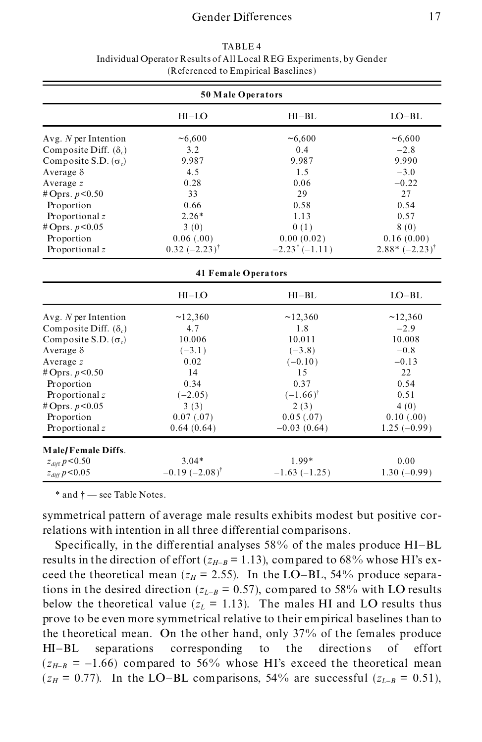# Gender Differences 17

| $\alpha$ and $\alpha$ and $\alpha$ is the probability of $\alpha$ |                                |                                |                          |  |
|-------------------------------------------------------------------|--------------------------------|--------------------------------|--------------------------|--|
| 50 Male Operators                                                 |                                |                                |                          |  |
|                                                                   | $HI-LO$                        | $HI-BL$                        | $LO-BL$                  |  |
| Avg. $N$ per Intention                                            | ~16,600                        | ~56,600                        | ~16,600                  |  |
| Composite Diff. $(\delta_n)$                                      | 3.2                            | 0.4                            | $-2.8$                   |  |
| Composite S.D. $(\sigma_c)$                                       | 9.987                          | 9.987                          | 9.990                    |  |
| Average $\delta$                                                  | 4.5                            | 1.5                            | $-3.0$                   |  |
| Average z                                                         | 0.28                           | 0.06                           | $-0.22$                  |  |
| # Oprs. $p < 0.50$                                                | 33                             | 29                             | 27                       |  |
| Proportion                                                        | 0.66                           | 0.58                           | 0.54                     |  |
| Proportional z                                                    | $2.26*$                        | 1.13                           | 0.57                     |  |
| # Oprs. $p < 0.05$                                                | 3(0)                           | 0(1)                           | 8(0)                     |  |
| Proportion                                                        | 0.06(0.00)                     | 0.00(0.02)                     | 0.16(0.00)               |  |
| Proportional z                                                    | $0.32 (-2.23)^{\dagger}$       | $-2.23$ <sup>†</sup> $(-1.11)$ | $2.88*(-2.23)^{\dagger}$ |  |
|                                                                   | <b>41 Female Operators</b>     |                                |                          |  |
|                                                                   | $HI-LO$                        | $HI-BL$                        | $LO-BL$                  |  |
| Avg. $N$ per Intention                                            | ~12,360                        | ~12,360                        | ~12,360                  |  |
| Composite Diff. $(\delta_c)$                                      | 4.7                            | 1.8                            | $-2.9$                   |  |
| Composite S.D. $(\sigma_c)$                                       | 10.006                         | 10.011                         | 10.008                   |  |
| Average $\delta$                                                  | $(-3.1)$                       | $(-3.8)$                       | $-0.8$                   |  |
| Average $z$                                                       | 0.02                           | $(-0.10)$                      | $-0.13$                  |  |
| # Oprs. $p < 0.50$                                                | 14                             | 15                             | 22                       |  |
| Proportion                                                        | 0.34                           | 0.37                           | 0.54                     |  |
| Proportional z                                                    | $(-2.05)$                      | $(-1.66)$ <sup>†</sup>         | 0.51                     |  |
| # Oprs. $p < 0.05$                                                | 3(3)                           | 2(3)                           | 4(0)                     |  |
| Proportion                                                        | 0.07(0.07)                     | 0.05(.07)                      | 0.10(0.00)               |  |
| Proportional z                                                    | 0.64(0.64)                     | $-0.03(0.64)$                  | $1.25(-0.99)$            |  |
| Male/Female Diffs.                                                |                                |                                |                          |  |
| $z_{\it diff}$ $p\!<\!0.50$                                       | $3.04*$                        | $1.99*$                        | 0.00                     |  |
| $z_{diff} p < 0.05$                                               | $-0.19$ $(-2.08)$ <sup>†</sup> | $-1.63(-1.25)$                 | $1.30(-0.99)$            |  |

TABLE 4 Individual Operator Results of All Local REG Experiments, by Gender (Referenced to Empirical Baselines)

 $*$  and  $\dagger$   $-$  see Table Notes.

symmetrical pattern of average male results exhibits modest but positive correlations with intention in all three differential comparisons.

Specifically, in the differential analyses 58% of the males produce HI-BL results in the direction of effort ( $z_{H-B}$  = 1.13), compared to 68% whose HI's exceed the theoretical mean ( $z_H$  = 2.55). In the LO-BL, 54% produce separations in the desired direction ( $z_{L-B}$  = 0.57), compared to 58% with LO results below the theoretical value  $(z_L = 1.13)$ . The males HI and LO results thus prove to be even more symmetrical relative to their empirical baselines than to the theoretical mean. On the other hand, only 37% of the females produce HI-BL separations corresponding to the directions of effort  $(z_{H-B} = -1.66)$  compared to 56% whose HI's exceed the theoretical mean  $(z_H = 0.77)$ . In the LO-BL comparisons, 54% are successful  $(z_{L-B} = 0.51)$ ,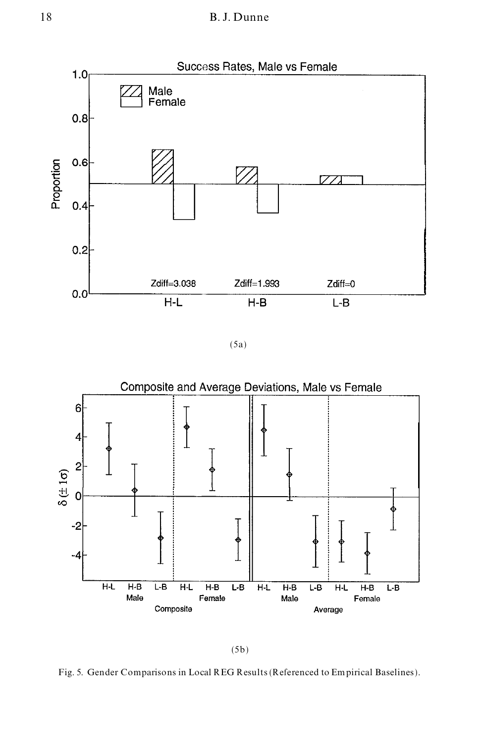

(5a)



(5b)

Fig. 5. Gender Comparisons in Local REG Results (Referenced to Empirical Baselines).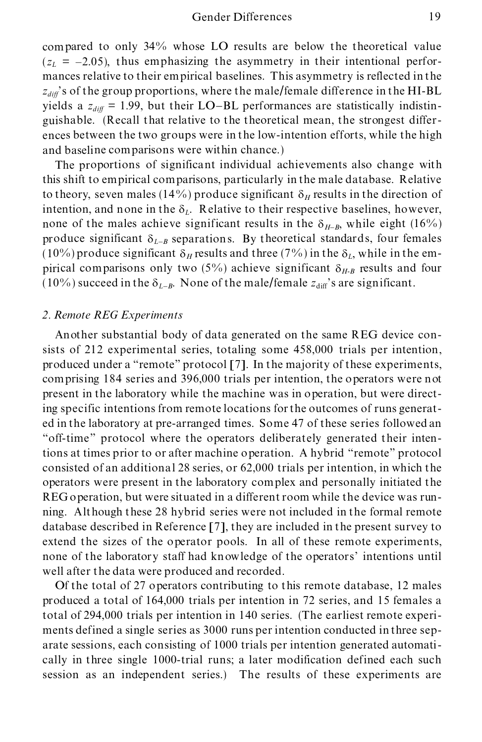compared to only 34% whose LO results are below the theoretical value  $(z_L = -2.05)$ , thus emphasizing the asymmetry in their intentional performances relative to their empirical baselines. This asymmetry is reflected in the  $z_{diff}$ 's of the group proportions, where the male/female difference in the HI-BL yields a  $z_{diff}$  = 1.99, but their LO-BL performances are statistically indistinguishable. (Recall that relative to the theoretical mean, the strongest differ ences between the two groups were in the low-intention efforts, while the high and baseline comparisons were within chance.)

The proportions of significant individual achievements also change with this shift to empirical comparisons, particularly in the male database. Relative to theory, seven males (14%) produce significant  $\delta_H$  results in the direction of intention, and none in the  $\delta_L$ . Relative to their respective baselines, however, none of the males achieve significant results in the  $\delta_{H-B}$ , while eight (16%) produce significant  $\delta_{L-R}$  separations. By theoretical standards, four females (10%) produce significant  $\delta_H$  results and three (7%) in the  $\delta_L$ , while in the empirical comparisons only two (5%) achieve significant  $\delta_{H-B}$  results and four (10%) succeed in the  $\delta_{L-B}$ . None of the male/female  $z_{\text{diff}}$ 's are significant.

#### *2. Remote REG Experiments*

Another substantial body of data generated on the same REG device consists of 212 experimental series, totaling some 458,000 trials per intention, produced under a "remote" protocol  $[7]$ . In the majority of these experiments, comprising 184 series and 396,000 trials per intention, the operators were not present in the laboratory while the machine was in operation, but were directing specific intentions from remote locations for the outcomes of runs generat ed in the laboratory at pre-arranged times. Some 47 of these series followed an "off-time" protocol where the operators deliberately generated their intentions at times prior to or after machine operation. A hybrid "remote" protocol consisted of an additional 28 series, or 62,000 trials per intention, in which the operators were present in the laboratory complex and personally initiated the REG operation, but were situated in a different room while the device was run ning. Although these 28 hybrid series were not included in the formal remote database described in Reference [7], they are included in the present survey to extend the sizes of the operator pools. In all of these remote experiments, none of the laboratory staff had knowledge of the operators' intentions until well after the data were produced and recorded.

Of the total of 27 operators contributing to this remote database, 12 males produced a total of 164,000 trials per intention in 72 series, and 15 females a total of 294,000 trials per intention in 140 series. (The earliest remote experi ments defined a single series as 3000 runs per intention conducted in three sep arate sessions, each consisting of 1000 trials per intention generated automati cally in three single 1000-trial runs; a later modification defined each such session as an independent series.) The results of these experiments are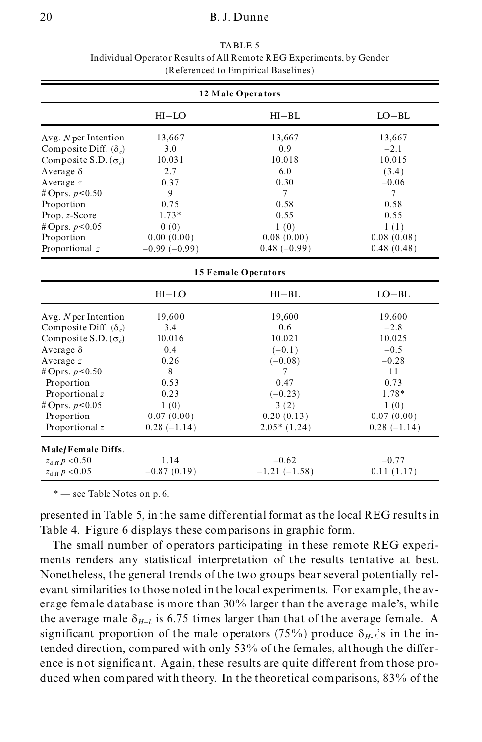## 20 B. J. Dunne

| 12 Male Operators             |                |                |                |  |  |
|-------------------------------|----------------|----------------|----------------|--|--|
|                               | $HI-LO$        | $HI-BL$        | $LO-BL$        |  |  |
| Avg. $N$ per Intention        | 13,667         | 13,667         | 13,667         |  |  |
| Composite Diff. $(\delta_a)$  | 3.0            | 0.9            | $-2.1$         |  |  |
| Composite S.D. $(\sigma_c)$   | 10.031         | 10.018         | 10.015         |  |  |
| Average $\delta$              | 2.7            | 6.0            | (3.4)          |  |  |
| Average $z$                   | 0.37           | 0.30           | $-0.06$        |  |  |
| # Oprs. $p < 0.50$            | 9              | $\tau$         | $\overline{7}$ |  |  |
| Proportion                    | 0.75           | 0.58           | 0.58           |  |  |
| Prop. z-Score                 | $1.73*$        | 0.55           | 0.55           |  |  |
| # Oprs. $p < 0.05$            | 0(0)           | 1(0)           | 1(1)           |  |  |
| Proportion                    | 0.00(0.00)     | 0.08(0.00)     | 0.08(0.08)     |  |  |
| Proportional z                | $-0.99(-0.99)$ | $0.48(-0.99)$  | 0.48(0.48)     |  |  |
| <b>15 Female Operators</b>    |                |                |                |  |  |
|                               | $HI-LO$        | $HI-BL$        | $LO-BL$        |  |  |
| Avg. $N$ per Intention        | 19,600         | 19,600         | 19,600         |  |  |
| Composite Diff. $(\delta_c)$  | 3.4            | 0.6            | $-2.8$         |  |  |
| Composite S.D. $(\sigma_c)$   | 10.016         | 10.021         | 10.025         |  |  |
| Average $\delta$              | 0.4            | $(-0.1)$       | $-0.5$         |  |  |
| Average $z$                   | 0.26           | $(-0.08)$      | $-0.28$        |  |  |
| # Oprs. $p < 0.50$            | 8              | 7              | 11             |  |  |
| Proportion                    | 0.53           | 0.47           | 0.73           |  |  |
| Proportional z                | 0.23           | $(-0.23)$      | 1.78*          |  |  |
| # Oprs. $p < 0.05$            | 1(0)           | 3(2)           | 1(0)           |  |  |
| Proportion                    | 0.07(0.00)     | 0.20(0.13)     | 0.07(0.00)     |  |  |
| Proportional z                | $0.28(-1.14)$  | $2.05*(1.24)$  | $0.28(-1.14)$  |  |  |
| Male/Female Diffs.            |                |                |                |  |  |
| $z_{\rm diff} \, p < \! 0.50$ | 1.14           | $-0.62$        | $-0.77$        |  |  |
| $z_{\rm diff} \, p < \! 0.05$ | $-0.87(0.19)$  | $-1.21(-1.58)$ | 0.11(1.17)     |  |  |

TABLE 5 Individual Operator Results of All Remote REG Experiments, by Gender (Referenced to Empirical Baselines)

\* – see Table Notes on p. 6.

presented in Table 5, in the same differential format as the local REG results in Table 4. Figure 6 displays these comparisons in graphic form.

The small number of operators participating in these remote REG experi ments renders any statistical interpretation of the results tentative at best. Nonetheless, the general trends of the two groups bear several potentially rel evant similarities to those noted in the local experiments. For example, the av erage female database is more than 30% larger than the average male's, while the average male  $\delta_{H-L}$  is 6.75 times larger than that of the average female. A significant proportion of the male operators (75%) produce  $\delta_{H-L}$ 's in the intended direction, compared with only 53% of the females, although the differ ence is not significant. Again, these results are quite different from those pro duced when compared with theory. In the theoretical comparisons, 83% of the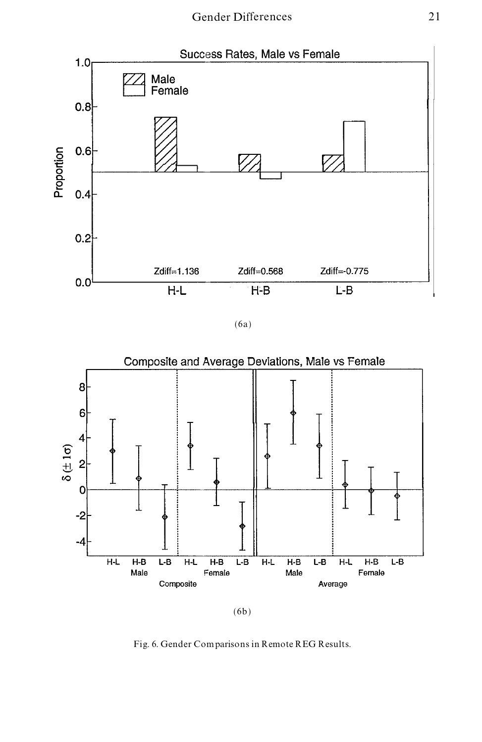

(6a)



(6b)

Fig. 6. Gender Comparisons in Remote REG Results.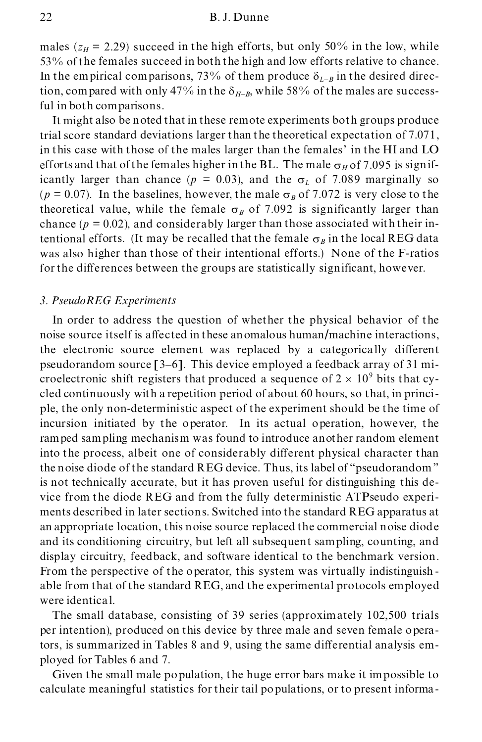males ( $z_H$  = 2.29) succeed in the high efforts, but only 50% in the low, while 53% of the females succeed in both the high and low efforts relative to chance. In the empirical comparisons, 73% of them produce  $\delta_{L-B}$  in the desired direction, compared with only 47% in the  $\delta_{H-B}$ , while 58% of the males are successful in both comparisons.

It might also be noted that in these remote experiments both groups produce trial score standard deviations larger than the theoretical expectation of 7.071, in this case with those of the males larger than the females' in the HI and LO efforts and that of the females higher in the BL. The male  $\sigma_H$  of 7.095 is significantly larger than chance ( $p = 0.03$ ), and the  $\sigma_L$  of 7.089 marginally so  $(p = 0.07)$ . In the baselines, however, the male  $\sigma_B$  of 7.072 is very close to the theoretical value, while the female  $\sigma_B$  of 7.092 is significantly larger than chance  $(p = 0.02)$ , and considerably larger than those associated with their intentional efforts. (It may be recalled that the female  $\sigma_B$  in the local REG data was also higher than those of their intentional efforts.) None of the F-ratios for the differences between the groups are statistically significant, however.

#### *3. PseudoREG Experiments*

In order to address the question of whether the physical behavior of the noise source itself is affected in these anomalous human/machine interactions, the electronic source element was replaced by a categorically different pseudorandom source [3-6]. This device employed a feedback array of 31 microelectronic shift registers that produced a sequence of  $2 \times 10^9$  bits that cycled continuously with a repetition period of about 60 hours, so that, in princi ple, the only non-deterministic aspect of the experiment should be the time of incursion initiated by the operator. In its actual operation, however, the ramped sampling mechanism was found to introduce another random element into the process, albeit one of considerably different physical character than the noise diode of the standard REG device. Thus, its label of "pseudorandom" is not technically accurate, but it has proven useful for distinguishing this de vice from the diode REG and from the fully deterministic ATPseudo experi ments described in later sections. Switched into the standard REG apparatus at an appropriate location, this noise source replaced the commercial noise diode and its conditioning circuitry, but left all subsequent sampling, counting, and display circuitry, feedback, and software identical to the benchmark version. From the perspective of the operator, this system was virtually indistinguish able from that of the standard REG, and the experimental protocols employed were identical.

The small database, consisting of 39 series (approximately 102,500 trials per intention), produced on this device by three male and seven female operators, is summarized in Tables 8 and 9, using the same differential analysis em ployed for Tables 6 and 7.

Given the small male population, the huge error bars make it impossible to calculate meaningful statistics for their tail populations, or to present informa-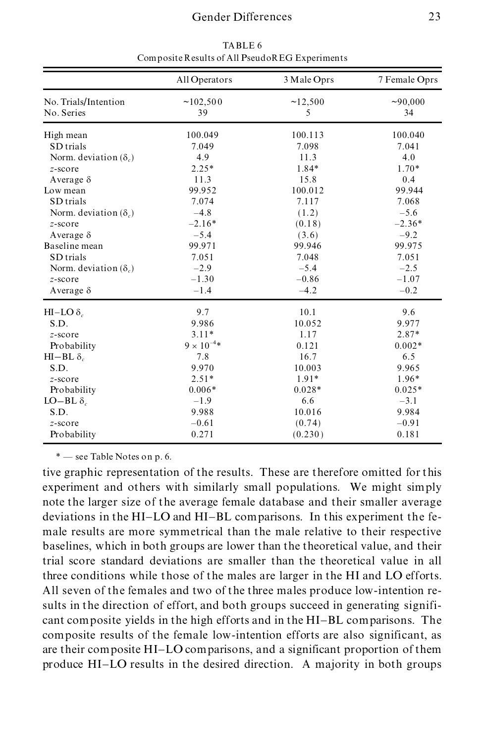|                                    | All Operators        | 3 Male Oprs  | 7 Female Oprs  |
|------------------------------------|----------------------|--------------|----------------|
| No. Trials/Intention<br>No. Series | ~102,500<br>39       | ~12,500<br>5 | ~100,000<br>34 |
| High mean                          | 100.049              | 100.113      | 100.040        |
| SD trials                          | 7.049                | 7.098        | 7.041          |
| Norm. deviation $(\delta_c)$       | 4.9                  | 11.3         | 4.0            |
| z-score                            | $2.25*$              | 1.84*        | $1.70*$        |
| Average $\delta$                   | 11.3                 | 15.8         | 0.4            |
| Low mean                           | 99.952               | 100.012      | 99.944         |
| SD trials                          | 7.074                | 7.117        | 7.068          |
| Norm. deviation $(\delta_c)$       | $-4.8$               | (1.2)        | $-5.6$         |
| z-score                            | $-2.16*$             | (0.18)       | $-2.36*$       |
| Average $\delta$                   | $-5.4$               | (3.6)        | $-9.2$         |
| Baseline mean                      | 99.971               | 99.946       | 99.975         |
| SD trials                          | 7.051                | 7.048        | 7.051          |
| Norm. deviation $(\delta_c)$       | $-2.9$               | $-5.4$       | $-2.5$         |
| z-score                            | $-1.30$              | $-0.86$      | $-1.07$        |
| Average $\delta$                   | $-1.4$               | $-4.2$       | $-0.2$         |
| HI-LO δ <sub>c</sub>               | 9.7                  | 10.1         | 9.6            |
| S.D.                               | 9.986                | 10.052       | 9.977          |
| $z$ -score                         | $3.11*$              | 1.17         | 2.87*          |
| Probability                        | $9 \times 10^{-4}$ * | 0.121        | $0.002*$       |
| HI-BL $\delta_c$                   | 7.8                  | 16.7         | 6.5            |
| S.D.                               | 9.970                | 10.003       | 9.965          |
| z-score                            | $2.51*$              | $1.91*$      | 1.96*          |
| Probability                        | $0.006*$             | $0.028*$     | $0.025*$       |
| LO-BL $\delta_c$                   | $-1.9$               | 6.6          | $-3.1$         |
| S.D.                               | 9.988                | 10.016       | 9.984          |
| z-score                            | $-0.61$              | (0.74)       | $-0.91$        |
| Probability                        | 0.271                | (0.230)      | 0.181          |

TABLE 6 Composite Results of All PseudoREG Experiments

tive graphic representation of the results. These are therefore omitted for this experiment and others with similarly small populations. We might simply note the larger size of the average female database and their smaller average deviations in the HI-LO and HI-BL comparisons. In this experiment the fe male results are more symmetrical than the male relative to their respective baselines, which in both groups are lower than the theoretical value, and their trial score standard deviations are smaller than the theoretical value in all three conditions while those of the males are larger in the HI and LO efforts. All seven of the females and two of the three males produce low-intention results in the direction of effort, and both groups succeed in generating significant composite yields in the high efforts and in the HI-BL comparisons. The composite results of the female low-intention efforts are also significant, as are their composite HI-LO comparisons, and a significant proportion of them produce HI-LO results in the desired direction. A majority in both groups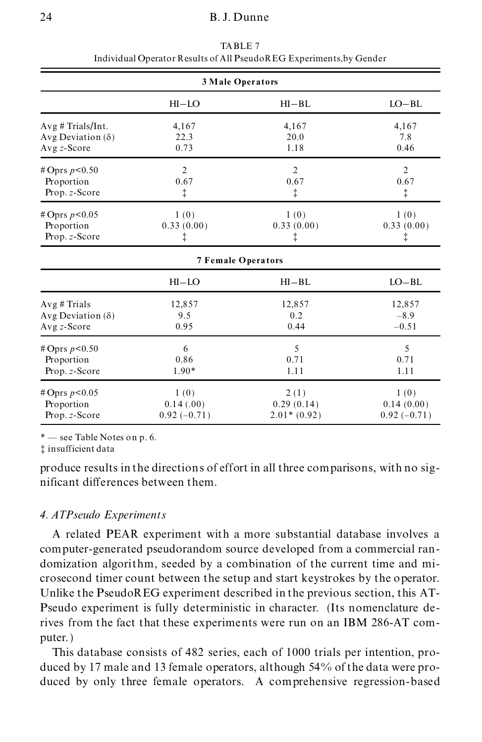| 3 Male Operators         |                           |                |                |  |
|--------------------------|---------------------------|----------------|----------------|--|
|                          | $HI-LO$                   | $HI-BL$        | $LO-BL$        |  |
| Avg # Trials/Int.        | 4,167                     | 4,167          | 4,167          |  |
| Avg Deviation $(\delta)$ | 22.3                      | 20.0           | 7.8            |  |
| $Avg z-Score$            | 0.73                      | 1.18           | 0.46           |  |
| # Oprs $p < 0.50$        | $\overline{2}$            | $\overline{2}$ | $\overline{2}$ |  |
| Proportion               | 0.67                      | 0.67           | 0.67           |  |
| Prop. z-Score            | ţ                         | ‡.             | ţ              |  |
| # Oprs $p < 0.05$        | 1(0)                      | 1(0)           | 1(0)           |  |
| Proportion               | 0.33(0.00)                | 0.33(0.00)     | 0.33(0.00)     |  |
| Prop. z-Score            | ţ                         | ţ              | ţ              |  |
|                          | <b>7 Female Operators</b> |                |                |  |
|                          | $HI-LO$                   | $HI-BL$        | $LO-BL$        |  |
| Avg # Trials             | 12,857                    | 12,857         | 12,857         |  |
| Avg Deviation $(\delta)$ | 9.5                       | 0.2            | $-8.9$         |  |
| Avg z-Score              | 0.95                      | 0.44           | $-0.51$        |  |
| # Oprs $p < 0.50$        | 6                         | 5              | 5              |  |
| Proportion               | 0.86                      | 0.71           | 0.71           |  |
| Prop. z-Score            | 1.90*                     | 1.11           | 1.11           |  |
| # Oprs $p < 0.05$        | 1(0)                      | 2(1)           | 1(0)           |  |
| Proportion               | 0.14(0.00)                | 0.29(0.14)     | 0.14(0.00)     |  |
| Prop. z-Score            | $0.92(-0.71)$             | $2.01*(0.92)$  | $0.92(-0.71)$  |  |

TABLE 7 Individual Operator Results of All PseudoREG Experiments,by Gender

³ insufficient data

produce results in the directions of effort in all three comparisons, with no sig nificant differences between them.

## *4. ATPseudo Experiments*

A related PEAR experiment with a more substantial database involves a computer-generated pseudorandom source developed from a commercial ran domization algorithm, seeded by a combination of the current time and mi crosecond timer count between the setup and start keystrokes by the operator. Unlike the PseudoREG experiment described in the previous section, this AT- Pseudo experiment is fully deterministic in character. (Its nomenclature derives from the fact that these experiments were run on an IBM 286-AT com puter. )

This database consists of 482 series, each of 1000 trials per intention, pro duced by 17 male and 13 female operators, although 54% of the data were pro duced by only three female operators. A comprehensive regression-based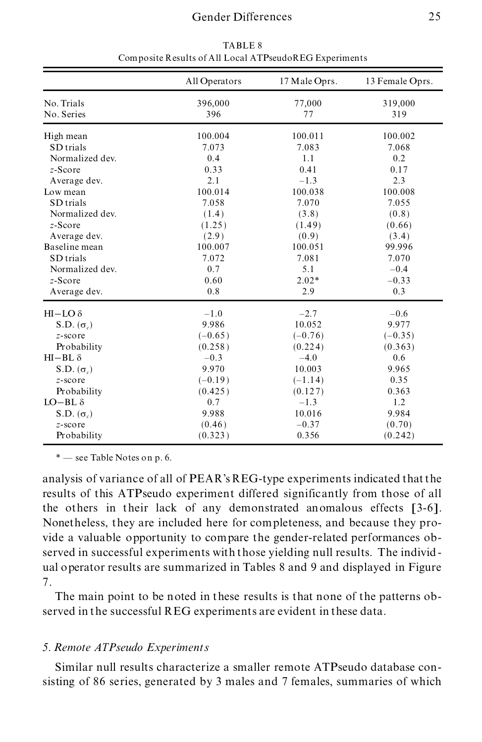|                          | All Operators  | 17 Male Oprs. | 13 Female Oprs. |
|--------------------------|----------------|---------------|-----------------|
| No. Trials<br>No. Series | 396,000<br>396 | 77,000<br>77  | 319,000<br>319  |
| High mean                | 100.004        | 100.011       | 100.002         |
| SD trials                | 7.073          | 7.083         | 7.068           |
| Normalized dev.          | 0.4            | 1.1           | 0.2             |
| $z$ -Score               | 0.33           | 0.41          | 0.17            |
| Average dev.             | 2.1            | $-1.3$        | 2.3             |
| Low mean                 | 100.014        | 100.038       | 100.008         |
| SD trials                | 7.058          | 7.070         | 7.055           |
| Normalized dev.          | (1.4)          | (3.8)         | (0.8)           |
| $z$ -Score               | (1.25)         | (1.49)        | (0.66)          |
| Average dev.             | (2.9)          | (0.9)         | (3.4)           |
| Baseline mean            | 100.007        | 100.051       | 99.996          |
| SD trials                | 7.072          | 7.081         | 7.070           |
| Normalized dev.          | 0.7            | 5.1           | $-0.4$          |
| $z$ -Score               | 0.60           | $2.02*$       | $-0.33$         |
| Average dev.             | 0.8            | 2.9           | 0.3             |
| $HI-LO$ $\delta$         | $-1.0$         | $-2.7$        | $-0.6$          |
| $S.D.(\sigma)$           | 9.986          | 10.052        | 9.977           |
| $z$ -score               | $(-0.65)$      | $(-0.76)$     | $(-0.35)$       |
| Probability              | (0.258)        | (0.224)       | (0.363)         |
| $HI-BL \delta$           | $-0.3$         | $-4.0$        | 0.6             |
| S.D. $(\sigma_c)$        | 9.970          | 10.003        | 9.965           |
| $z$ -score               | $(-0.19)$      | $(-1.14)$     | 0.35            |
| Probability              | (0.425)        | (0.127)       | 0.363           |
| $LO-BL \delta$           | 0.7            | $-1.3$        | 1.2             |
| $S.D.(\sigma_c)$         | 9.988          | 10.016        | 9.984           |
| $z$ -score               | (0.46)         | $-0.37$       | (0.70)          |
| Probability              | (0.323)        | 0.356         | (0.242)         |

TABLE 8 Composite Results of All Local ATPseudoREG Experiments

analysis of variance of all of PEAR's REG-type experiments indicated that the results of this ATPseudo experiment differed significantly from those of all the others in their lack of any demonstrated anomalous effects [3-6]. Nonetheless, they are included here for completeness, and because they pro vide a valuable opportunity to compare the gender-related performances observed in successful experiments with those yielding null results. The individ ual operator results are summarized in Tables 8 and 9 and displayed in Figure 7.

The main point to be noted in these results is that none of the patterns observed in the successful REG experiments are evident in these data.

## *5. Remote ATPseudo Experiments*

Similar null results characterize a smaller remote ATPseudo database consisting of 86 series, generated by 3 males and 7 females, summaries of which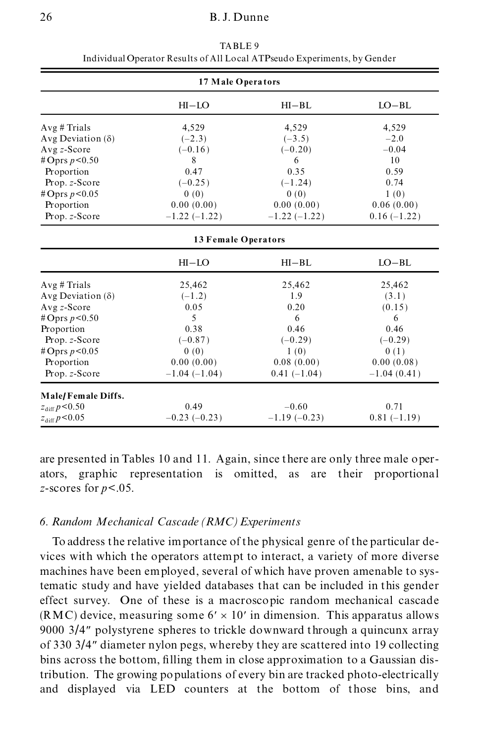| 17 Male Operators        |                            |                |               |  |  |
|--------------------------|----------------------------|----------------|---------------|--|--|
|                          | $HI-LO$                    | $HI-BL$        | $LO-BL$       |  |  |
| Avg # Trials             | 4,529                      | 4,529          | 4,529         |  |  |
| Avg Deviation $(\delta)$ | $(-2.3)$                   | $(-3.5)$       | $-2.0$        |  |  |
| $Avg z-Score$            | $(-0.16)$                  | $(-0.20)$      | $-0.04$       |  |  |
| # Oprs $p < 0.50$        | 8                          | 6              | 10            |  |  |
| Proportion               | 0.47                       | 0.35           | 0.59          |  |  |
| Prop. z-Score            | $(-0.25)$                  | $(-1.24)$      | 0.74          |  |  |
| #Oprs $p < 0.05$         | 0(0)                       | 0(0)           | 1(0)          |  |  |
| Proportion               | 0.00(0.00)                 | 0.00(0.00)     | 0.06(0.00)    |  |  |
| Prop. z-Score            | $-1.22(-1.22)$             | $-1.22(-1.22)$ | $0.16(-1.22)$ |  |  |
|                          | <b>13 Female Operators</b> |                |               |  |  |
|                          | $HI-LO$                    | $HI-BL$        | $LO-BL$       |  |  |
| Avg # Trials             | 25,462                     | 25,462         | 25,462        |  |  |
| Avg Deviation $(\delta)$ | $(-1.2)$                   | 1.9            | (3.1)         |  |  |
| $Avg z-Score$            | 0.05                       | 0.20           | (0.15)        |  |  |
| # Oprs $p < 0.50$        | $\overline{5}$             | 6              | 6             |  |  |
| Proportion               | 0.38                       | 0.46           | 0.46          |  |  |
| Prop. z-Score            | $(-0.87)$                  | $(-0.29)$      | $(-0.29)$     |  |  |
| #Oprs $p < 0.05$         | 0(0)                       | 1(0)           | 0(1)          |  |  |
| Proportion               | 0.00(0.00)                 | 0.08(0.00)     | 0.00(0.08)    |  |  |
| Prop. z-Score            | $-1.04(-1.04)$             | $0.41(-1.04)$  | $-1.04(0.41)$ |  |  |
| Male/Female Diffs.       |                            |                |               |  |  |
| $z_{\text{diff}} p<0.50$ | 0.49                       | $-0.60$        | 0.71          |  |  |
| $z_{\text{diff}} p<0.05$ | $-0.23(-0.23)$             | $-1.19(-0.23)$ | $0.81(-1.19)$ |  |  |

TABLE 9 Individual Operator Results of All Local ATPseudo Experiments, by Gender

are presented in Tables 10 and 11. Again, since there are only three male oper ators, graphic representation is omitted, as are their proportional *z*-scores for *p*<.05.

## *6. Random Mechanical Cascade (RMC)Experiments*

To address the relative importance of the physical genre of the particular de vices with which the operators attempt to interact, a variety of more diverse machines have been employed, several of which have proven amenable to systematic study and have yielded databases that can be included in this gender effect survey. One of these is a macroscopic random mechanical cascade (RMC) device, measuring some  $6' \times 10'$  in dimension. This apparatus allows 9000 3/4² polystyrene spheres to trickle downward through a quincunx array of 330 3/4² diameter nylon pegs, whereby they are scattered into 19 collecting bins across the bottom, filling them in close approximation to a Gaussian distribution. The growing populations of every bin are tracked photo-electrically and displayed via LED counters at the bottom of those bins, and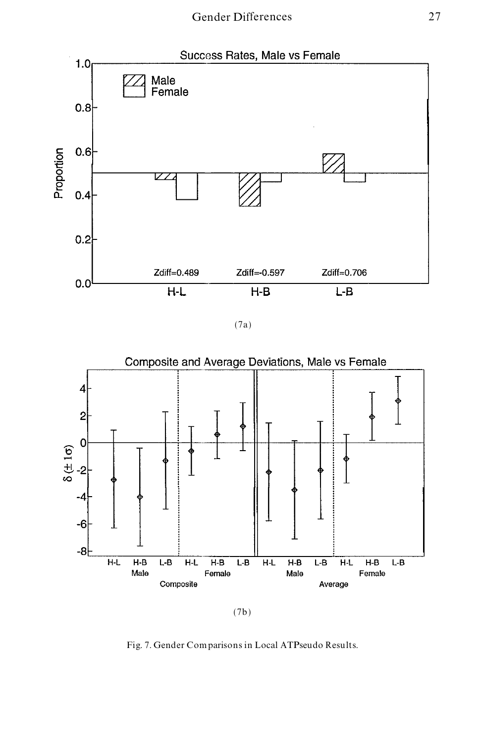

(7a)



<sup>(7</sup>b)

Fig. 7. Gender Comparisons in Local ATPseudo Results.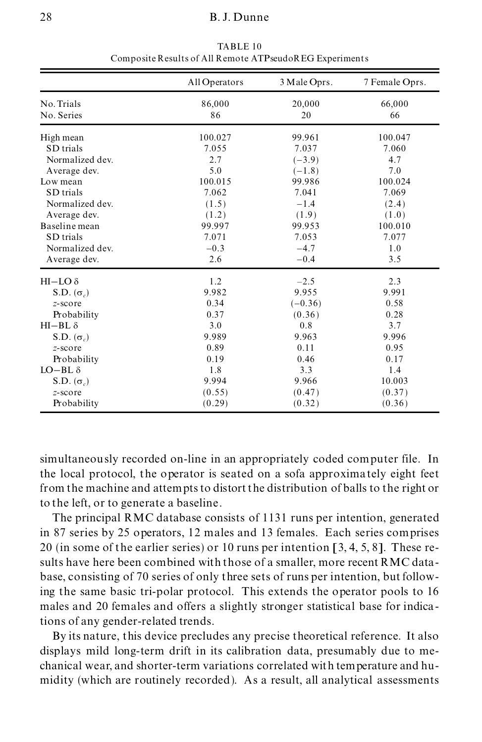|                   | All Operators | 3 Male Oprs. | 7 Female Oprs. |
|-------------------|---------------|--------------|----------------|
| No. Trials        | 86,000        | 20,000       | 66,000         |
| No. Series        | 86            | 20           | 66             |
| High mean         | 100.027       | 99.961       | 100.047        |
| SD trials         | 7.055         | 7.037        | 7.060          |
| Normalized dev.   | 2.7           | $(-3.9)$     | 4.7            |
| Average dev.      | 5.0           | $(-1.8)$     | 7.0            |
| Low mean          | 100.015       | 99.986       | 100.024        |
| SD trials         | 7.062         | 7.041        | 7.069          |
| Normalized dev.   | (1.5)         | $-1.4$       | (2.4)          |
| Average dev.      | (1.2)         | (1.9)        | (1.0)          |
| Baseline mean     | 99.997        | 99.953       | 100.010        |
| SD trials         | 7.071         | 7.053        | 7.077          |
| Normalized dev.   | $-0.3$        | $-4.7$       | 1.0            |
| Average dev.      | 2.6           | $-0.4$       | 3.5            |
| $HI$ –LO $\delta$ | 1.2           | $-2.5$       | 2.3            |
| S.D. $(\sigma_c)$ | 9.982         | 9.955        | 9.991          |
| $z$ -score        | 0.34          | $(-0.36)$    | 0.58           |
| Probability       | 0.37          | (0.36)       | 0.28           |
| $HI-BL \delta$    | 3.0           | 0.8          | 3.7            |
| $S.D.(\sigma)$    | 9.989         | 9.963        | 9.996          |
| $z$ -score        | 0.89          | 0.11         | 0.95           |
| Probability       | 0.19          | 0.46         | 0.17           |
| $LO-BL \delta$    | 1.8           | 3.3          | 1.4            |
| $S.D.(\sigma)$    | 9.994         | 9.966        | 10.003         |
| $z$ -score        | (0.55)        | (0.47)       | (0.37)         |
| Probability       | (0.29)        | (0.32)       | (0.36)         |

TABLE 10 Composite Results of All Remote ATPseudoREG Experiments

simultaneously recorded on-line in an appropriately coded computer file. In the local protocol, the operator is seated on a sofa approximately eight feet from the machine and attempts to distort the distribution of balls to the right or to the left, or to generate a baseline .

The principal RMC database consists of 1131 runs per intention, generated in 87 series by 25 operators, 12 males and 13 females. Each series comprises 20 (in some of the earlier series) or 10 runs per intention [3, 4, 5, 8]. These results have here been combined with those of a smaller, more recent RMC data base, consisting of 70 series of only three sets of runs per intention, but following the same basic tri-polar protocol. This extends the operator pools to 16 males and 20 females and offers a slightly stronger statistical base for indications of any gender-related trends.

By its nature, this device precludes any precise theoretical reference. It also displays mild long-term drift in its calibration data, presumably due to me chanical wear, and shorter-term variations correlated with temperature and hu midity (which are routinely recorded). As a result, all analytical assessments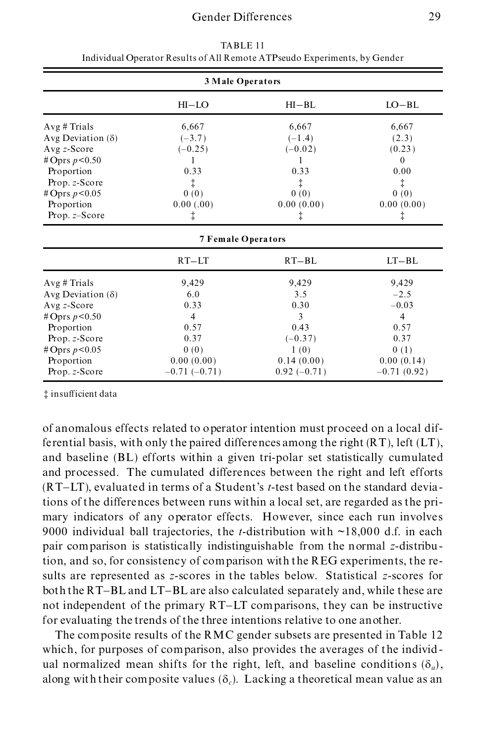| 3 Male Operators                                                                                                                                                  |                                                                                                |                                                                                       |                                                                                                     |  |
|-------------------------------------------------------------------------------------------------------------------------------------------------------------------|------------------------------------------------------------------------------------------------|---------------------------------------------------------------------------------------|-----------------------------------------------------------------------------------------------------|--|
|                                                                                                                                                                   | $HI-LO$                                                                                        | $HI-BL$                                                                               | $LO-BL$                                                                                             |  |
| Avg # Trials<br>Avg Deviation $(\delta)$<br>Avg $z$ -Score<br>#Oprs $p < 0.50$                                                                                    | 6,667<br>$(-3.7)$<br>$(-0.25)$<br>1                                                            | 6,667<br>$(-1.4)$<br>$(-0.02)$<br>1                                                   | 6,667<br>(2.3)<br>(0.23)<br>$\theta$                                                                |  |
| Proportion<br>Prop. z-Score<br>#Oprs $p < 0.05$<br>Proportion<br>Prop. $z$ –Score                                                                                 | 0.33<br>ţ<br>0(0)<br>0.00(0.00)<br>ţ                                                           | 0.33<br>ţ<br>0(0)<br>0.00(0.00)<br>ţ                                                  | 0.00<br>‡.<br>0(0)<br>0.00(0.00)<br>ţ                                                               |  |
|                                                                                                                                                                   | <b>7 Female Operators</b>                                                                      |                                                                                       |                                                                                                     |  |
|                                                                                                                                                                   | $RT-LT$                                                                                        | $RT-BL$                                                                               | $LT-BL$                                                                                             |  |
| Avg # Trials<br>Avg Deviation $(\delta)$<br>Avg $z$ -Score<br>#Oprs $p < 0.50$<br>Proportion<br>Prop. z-Score<br># Oprs $p < 0.05$<br>Proportion<br>Prop. z-Score | 9,429<br>6.0<br>0.33<br>$\overline{4}$<br>0.57<br>0.37<br>0(0)<br>0.00(0.00)<br>$-0.71(-0.71)$ | 9,429<br>3.5<br>0.30<br>3<br>0.43<br>$(-0.37)$<br>1(0)<br>0.14(0.00)<br>$0.92(-0.71)$ | 9,429<br>$-2.5$<br>$-0.03$<br>$\overline{4}$<br>0.57<br>0.37<br>0(1)<br>0.00(0.14)<br>$-0.71(0.92)$ |  |

TABLE 11 Individual Operator Results of All Remote ATPseudo Experiments, by Gender

 $\ddagger$  insufficient data

of anomalous effects related to operator intention must proceed on a local differential basis, with only the paired differences among the right  $(RT)$ , left  $(LT)$ , and baseline (BL) efforts within a given tri-polar set statistically cumulated and processed. The cumulated differences between the right and left efforts (RT-LT), evaluated in terms of a Student's *t*-test based on the standard deviations of the differences between runs within a local set, are regarded as the pri mary indicators of any operator effects. However, since each run involves 9000 individual ball trajectories, the *t*-distribution with ~18,000 d.f. in each pair comparison is statistically indistinguishable from the normal *z*-distribution, and so, for consistency of comparison with the REG experiments, the results are represented as *z*-scores in the tables below. Statistical *z*-scores for both the RT-BL and LT-BL are also calculated separately and, while these are not independent of the primary RT-LT comparisons, they can be instructive for evaluating the trends of the three intentions relative to one another.

The composite results of the RMC gender subsets are presented in Table 12 which, for purposes of comparison, also provides the averages of the individ ual normalized mean shifts for the right, left, and baseline conditions  $(\delta_a)$ , along with their composite values  $(\delta_c)$ . Lacking a theoretical mean value as an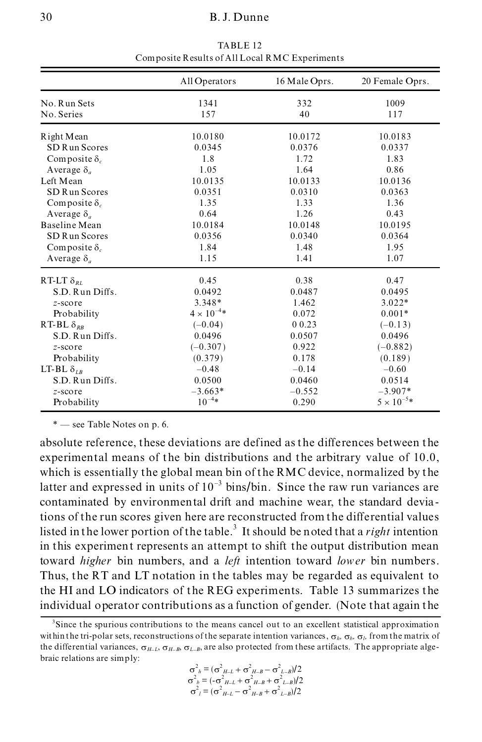|                                                         | All Operators            | 16 Male Oprs.             | 20 Female Oprs.           |
|---------------------------------------------------------|--------------------------|---------------------------|---------------------------|
| No. Run Sets                                            | 1341                     | 332                       | 1009                      |
| No. Series                                              | 157                      | 40                        | 117                       |
| Right Mean<br>SD R un Scores                            | 10.0180<br>0.0345<br>1.8 | 10.0172<br>0.0376<br>1.72 | 10.0183<br>0.0337<br>1.83 |
| Composite $\delta_c$<br>Average $\delta_a$<br>Left Mean | 1.05<br>10.0135          | 1.64<br>10.0133           | 0.86<br>10.0136           |
| SD R un Scores                                          | 0.0351                   | 0.0310                    | 0.0363                    |
| Composite $\delta_c$                                    | 1.35                     | 1.33                      | 1.36                      |
| Average $\delta_a$                                      | 0.64                     | 1.26                      | 0.43                      |
| Baseline Mean                                           | 10.0184                  | 10.0148                   | 10.0195                   |
| SD R un Scores                                          | 0.0356                   | 0.0340                    | 0.0364                    |
| Composite $\delta_c$                                    | 1.84                     | 1.48                      | 1.95                      |
| Average $\delta_a$                                      | 1.15                     | 1.41                      | 1.07                      |
|                                                         |                          |                           |                           |
| RT-LT $\delta_{RL}$                                     | 0.45                     | 0.38                      | 0.47                      |
| S.D. Run Diffs.                                         | 0.0492                   | 0.0487                    | 0.0495                    |
| $z$ -score                                              | $3.348*$                 | 1.462                     | $3.022*$                  |
| Probability                                             | $4 \times 10^{-4}$ *     | 0.072                     | $0.001*$                  |
| RT-BL $\delta_{RR}$                                     | $(-0.04)$                | 0 0.23                    | $(-0.13)$                 |
| S.D. Run Diffs.                                         | 0.0496                   | 0.0507                    | 0.0496                    |
| $z$ -score                                              | $(-0.307)$               | 0.922                     | $(-0.882)$                |
| Probability                                             | (0.379)                  | 0.178                     | (0.189)                   |
| LT-BL $\delta_{LR}$                                     | $-0.48$                  | $-0.14$                   | $-0.60$                   |
| S.D. Run Diffs.                                         | 0.0500                   | 0.0460                    | 0.0514                    |
| $z$ -score                                              | $-3.663*$                | $-0.552$                  | $-3.907*$                 |
| Probability                                             | $10^{-4*}$               | 0.290                     | $5 \times 10^{-5} *$      |

TABLE 12 Composite Results of All Local RMC Experiments

absolute reference, these deviations are defined as the differences between the experimental means of the bin distributions and the arbitrary value of 10.0, which is essentially the global mean bin of the RMC device, normalized by the latter and expressed in units of  $10^{-3}$  bins/bin. Since the raw run variances are contaminated by environmental drift and machine wear, the standard deviations of the run scores given here are reconstructed from the differential values listed in the lower portion of the table.<sup>3</sup> It should be noted that a *right* intention in this experiment represents an attempt to shift the output distribution mean toward *higher* bin numbers, and a *left* intention toward *lower* bin numbers. Thus, the RT and LT notation in the tables may be regarded as equivalent to the HI and LO indicators of the REG experiments. Table 13 summarizes the individual operator contributions as a function of gender. (Note that again the

$$
\sigma_{h}^{2} = (\sigma_{H-L}^{2} + \sigma_{H-B}^{2} - \sigma_{L-B}^{2})/2
$$
  
\n
$$
\sigma_{b}^{2} = (-\sigma_{H-L}^{2} + \sigma_{H-B}^{2} + \sigma_{L-B}^{2})/2
$$
  
\n
$$
\sigma_{l}^{2} = (\sigma_{H-L}^{2} - \sigma_{H-B}^{2} + \sigma_{L-B}^{2})/2
$$

<sup>&</sup>lt;sup>3</sup>Since the spurious contributions to the means cancel out to an excellent statistical approximation within the tri-polar sets, reconstructions of the separate intention variances,  $\sigma_h$ ,  $\sigma_b$ ,  $\sigma_l$ , from the matrix of the differential variances,  $\sigma_{H-L}$ ,  $\sigma_{H-B}$ ,  $\sigma_{L-B}$ , are also protected from these artifacts. The appropriate algebraic relations are simply: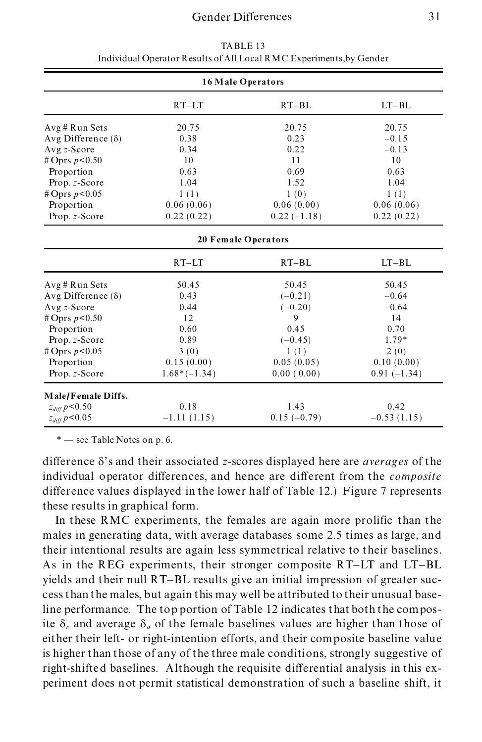| 16 Male Operators           |                |                     |               |
|-----------------------------|----------------|---------------------|---------------|
|                             | $RT-LT$        | $RT-BL$             | $LT-BL$       |
| Avg # Run Sets              | 20.75          | 20.75               | 20.75         |
| Avg Difference $(\delta)$   | 0.38           | 0.23                | $-0.15$       |
| Avg z-Score                 | 0.34           | 0.22                | $-0.13$       |
| # Oprs $p < 0.50$           | 10             | 11                  | 10            |
| Proportion                  | 0.63           | 0.69                | 0.63          |
| Prop. z-Score               | 1.04           | 1.52                | 1.04          |
| # Oprs $p < 0.05$           | 1(1)           | 1(0)                | 1(1)          |
| Proportion                  | 0.06(0.06)     | 0.06(0.00)          | 0.06(0.06)    |
| Prop. z-Score               | 0.22(0.22)     | $0.22(-1.18)$       | 0.22(0.22)    |
|                             |                | 20 Female Operators |               |
|                             | $RT-LT$        | $RT-BL$             | $LT-BL$       |
| Avg # Run Sets              | 50.45          | 50.45               | 50.45         |
| Avg Difference $(\delta)$   | 0.43           | $(-0.21)$           | $-0.64$       |
| Avg z-Score                 | 0.44           | $(-0.20)$           | $-0.64$       |
| # Oprs $p < 0.50$           | 12             | 9                   | 14            |
| Proportion                  | 0.60           | 0.45                | 0.70          |
| Prop. z-Score               | 0.89           | $(-0.45)$           | $1.79*$       |
| # Oprs $p < 0.05$           | 3(0)           | 1(1)                | 2(0)          |
| Proportion                  | 0.15(0.00)     | 0.05(0.05)          | 0.10(0.00)    |
| Prop. z-Score               | $1.68*(-1.34)$ | 0.00(0.00)          | $0.91(-1.34)$ |
| Male/Female Diffs.          |                |                     |               |
| $z_{\it diff}$ $p{<}0.50$   | 0.18           | 1.43                | 0.42          |
| $z_{\it diff}$ $p\!<\!0.05$ | $-1.11(1.15)$  | $0.15(-0.79)$       | $-0.53(1.15)$ |

TABLE 13 Individual Operator Results of All Local RMC Experiments,by Gender

difference  $\delta$ 's and their associated *z*-scores displayed here are *averages* of the individual operator differences, and hence are different from the *composite* difference values displayed in the lower half of Table 12.) Figure 7 represents these results in graphical form.

In these RMC experiments, the females are again more prolific than the males in generating data, with average databases some 2.5 times as large, and their intentional results are again less symmetrical relative to their baselines. As in the REG experiments, their stronger composite RT-LT and LT-BL yields and their null RT-BL results give an initial impression of greater suc cess than the males, but again this may well be attributed to their unusual baseline performance. The top portion of Table 12 indicates that both the composite  $\delta_c$  and average  $\delta_a$  of the female baselines values are higher than those of either their left- or right-intention efforts, and their composite baseline value is higher than those of any of the three male conditions, strongly suggestive of right-shifted baselines. Although the requisite differential analysis in this ex periment does not permit statistical demonstration of such a baseline shift, it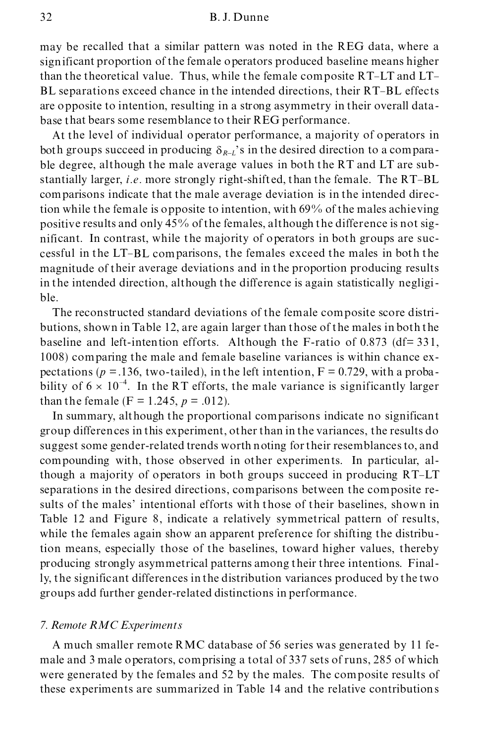may be recalled that a similar pattern was noted in the REG data, where a significant proportion of the female operators produced baseline means higher than the theoretical value. Thus, while the female composite RT-LT and LT- BL separations exceed chance in the intended directions, their RT-BL effects are opposite to intention, resulting in a strong asymmetry in their overall data base that bears some resemblance to their REG performance.

At the level of individual operator performance, a majority of operators in both groups succeed in producing  $\delta_{R-L}$ 's in the desired direction to a comparable degree, although the male average values in both the RT and LT are substantially larger, *i.e.* more strongly right-shift ed, than the female. The RT-BL comparisons indicate that the male average deviation is in the intended direction while the female is opposite to intention, with 69% of the males achieving positive results and only 45% of the females, although the difference is not sig nificant. In contrast, while the majority of operators in both groups are suc cessful in the LT-BL comparisons, the females exceed the males in both the magnitude of their average deviations and in the proportion producing results in the intended direction, although the difference is again statistically negligi ble.

The reconstructed standard deviations of the female composite score distri butions, shown in Table 12, are again larger than those of the males in both the baseline and left-intention efforts. Although the F-ratio of  $0.873$  (df= 331, 1008) comparing the male and female baseline variances is within chance ex pectations ( $p = 0.136$ , two-tailed), in the left intention,  $F = 0.729$ , with a probability of  $6 \times 10^{-4}$ . In the RT efforts, the male variance is significantly larger than the female ( $F = 1.245$ ,  $p = .012$ ).

In summary, although the proportional comparisons indicate no significant group differences in this experiment, other than in the variances, the results do suggest some gender-related trends worth noting for their resemblances to, and compounding with, those observed in other experiments. In particular, although a majority of operators in both groups succeed in producing RT-LT separations in the desired directions, comparisons between the composite results of the males' intentional efforts with those of their baselines, shown in Table 12 and Figure 8, indicate a relatively symmetrical pattern of results, while the females again show an apparent preference for shifting the distribution means, especially those of the baselines, toward higher values, thereby producing strongly asymmetrical patterns among their three intentions. Finally, the significant differences in the distribution variances produced by the two groups add further gender-related distinctions in performance.

## *7. Remote RMC Experiments*

A much smaller remote RMC database of 56 series was generated by 11 fe male and 3 male operators, comprising a total of 337 sets of runs, 285 of which were generated by the females and 52 by the males. The composite results of these experiments are summarized in Table 14 and the relative contributions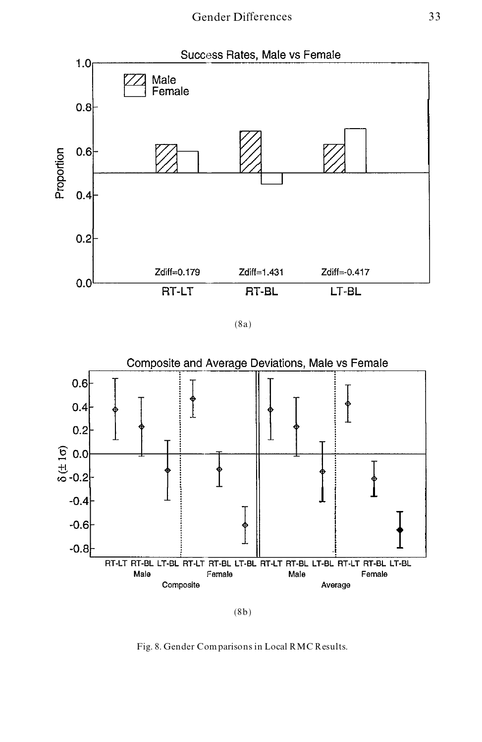

(8a)



<sup>(8</sup>b)

Fig. 8. Gender Comparisons in Local RMC Results.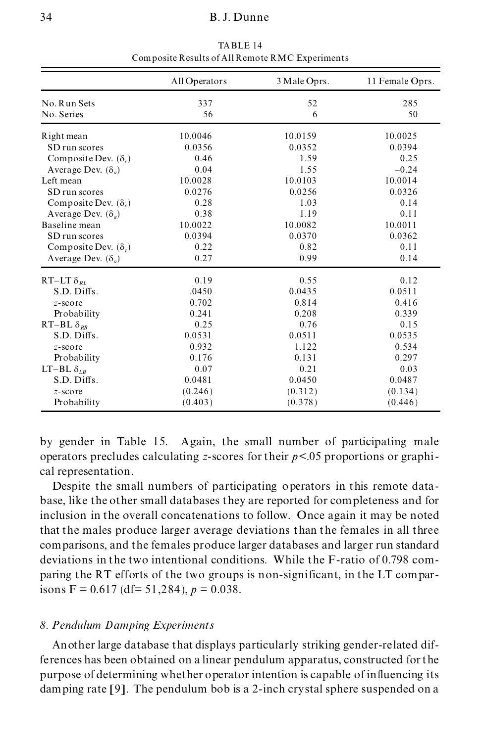|                             | All Operators | 3 Male Oprs. | 11 Female Oprs. |
|-----------------------------|---------------|--------------|-----------------|
| No. Run Sets<br>No. Series  | 337<br>56     | 52<br>6      | 285<br>50       |
| Right mean                  | 10.0046       | 10.0159      | 10.0025         |
| SD run scores               | 0.0356        | 0.0352       | 0.0394          |
| Composite Dev. $(\delta_c)$ | 0.46          | 1.59         | 0.25            |
| Average Dev. $(\delta_a)$   | 0.04          | 1.55         | $-0.24$         |
| Left mean                   | 10.0028       | 10.0103      | 10.0014         |
| SD run scores               | 0.0276        | 0.0256       | 0.0326          |
| Composite Dev. $(\delta_c)$ | 0.28          | 1.03         | 0.14            |
| Average Dev. $(\delta_a)$   | 0.38          | 1.19         | 0.11            |
| Baseline mean               | 10.0022       | 10.0082      | 10.0011         |
| SD run scores               | 0.0394        | 0.0370       | 0.0362          |
| Composite Dev. $(\delta_c)$ | 0.22          | 0.82         | 0.11            |
| Average Dev. $(\delta_a)$   | 0.27          | 0.99         | 0.14            |
| RT-LT $\delta_{RL}$         | 0.19          | 0.55         | 0.12            |
| S.D. Diffs.                 | .0450         | 0.0435       | 0.0511          |
| $z$ -score                  | 0.702         | 0.814        | 0.416           |
| Probability                 | 0.241         | 0.208        | 0.339           |
| RT-BL $\delta_{RR}$         | 0.25          | 0.76         | 0.15            |
| S.D. Diffs.                 | 0.0531        | 0.0511       | 0.0535          |
| $z$ -score                  | 0.932         | 1.122        | 0.534           |
| Probability                 | 0.176         | 0.131        | 0.297           |
| LT-BL $\delta_{LR}$         | 0.07          | 0.21         | 0.03            |
| S.D. Diffs.                 | 0.0481        | 0.0450       | 0.0487          |
| $z$ -score                  | (0.246)       | (0.312)      | (0.134)         |
| Probability                 | (0.403)       | (0.378)      | (0.446)         |

TABLE 14 Composite Results of All Remote RMC Experiments

by gender in Table 15. Again, the small number of participating male operators precludes calculating *z*-scores for their *p*<.05 proportions or graphi cal representation.

Despite the small numbers of participating operators in this remote data base, like the other small databases they are reported for completeness and for inclusion in the overall concatenations to follow. Once again it may be noted that the males produce larger average deviations than the females in all three comparisons, and the females produce larger databases and larger run standard deviations in the two intentional conditions. While the F-ratio of 0.798 com paring the RT efforts of the two groups is non-significant, in the LT comparisons  $F = 0.617$  (df= 51,284),  $p = 0.038$ .

## *8. Pendulum Damping Experiments*

Another large database that displays particularly striking gender-related differences has been obtained on a linear pendulum apparatus, constructed for the purpose of determining whether operator intention is capable of influencing its damping rate [9]. The pendulum bob is a 2-inch crystal sphere suspended on a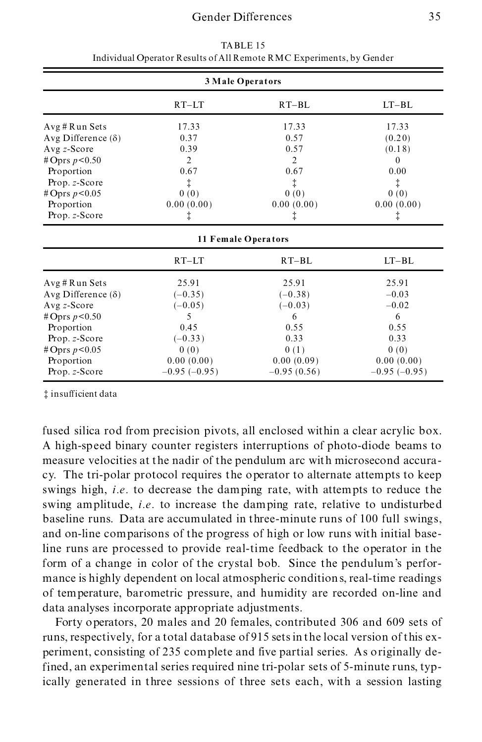| 3 Male Operators          |                |                     |                |
|---------------------------|----------------|---------------------|----------------|
|                           | $RT-LT$        | $RT-BL$             | $LT-BL$        |
| Avg # Run Sets            | 17.33          | 17.33               | 17.33          |
| Avg Difference $(\delta)$ | 0.37           | 0.57                | (0.20)         |
| Avg $z$ -Score            | 0.39           | 0.57                | (0.18)         |
| #Oprs $p < 0.50$          | $\overline{2}$ | $\overline{2}$      | $\theta$       |
| Proportion                | 0.67           | 0.67                | 0.00           |
| Prop. z-Score             | ‡.             | ţ                   | ţ              |
| # Oprs $p < 0.05$         | 0(0)           | 0(0)                | 0(0)           |
| Proportion                | 0.00(0.00)     | 0.00(0.00)          | 0.00(0.00)     |
| Prop. z-Score             | ţ              | ţ                   | ţ              |
|                           |                | 11 Female Operators |                |
|                           | $RT-LT$        | $RT-BL$             | $LT-BL$        |
| Avg#Run Sets              | 25.91          | 25.91               | 25.91          |
| Avg Difference $(\delta)$ | $(-0.35)$      | $(-0.38)$           | $-0.03$        |
| Avg $z$ -Score            | $(-0.05)$      | $(-0.03)$           | $-0.02$        |
| #Oprs $p < 0.50$          | 5              | 6                   | 6              |
| Proportion                | 0.45           | 0.55                | 0.55           |
| Prop. z-Score             | $(-0.33)$      | 0.33                | 0.33           |
| # Oprs $p < 0.05$         | 0(0)           | 0(1)                | 0(0)           |
| Proportion                | 0.00(0.00)     | 0.00(0.09)          | 0.00(0.00)     |
| Prop. z-Score             | $-0.95(-0.95)$ | $-0.95(0.56)$       | $-0.95(-0.95)$ |

TABLE 15 Individual Operator Results of All Remote RMC Experiments, by Gender

³ insufficient data

fused silica rod from precision pivots, all enclosed within a clear acrylic box. A high-speed binary counter registers interruptions of photo-diode beams to measure velocities at the nadir of the pendulum arc with microsecond accura cy. The tri-polar protocol requires the operator to alternate attempts to keep swings high, *i.e.* to decrease the damping rate, with attempts to reduce the swing amplitude, *i.e.* to increase the damping rate, relative to undisturbed baseline runs. Data are accumulated in three-minute runs of 100 full swings, and on-line comparisons of the progress of high or low runs with initial baseline runs are processed to provide real-time feedback to the operator in the form of a change in color of the crystal bob. Since the pendulum's perfor mance is highly dependent on local atmospheric conditions, real-time readings of temperature, barometric pressure, and humidity are recorded on-line and data analyses incorporate appropriate adjustments.

Forty operators, 20 males and 20 females, contributed 306 and 609 sets of runs, respectively, for a total database of 915 sets in the local version of this ex periment, consisting of 235 complete and five partial series. As originally defined, an experimental series required nine tri-polar sets of 5-minute runs, typically generated in three sessions of three sets each, with a session lasting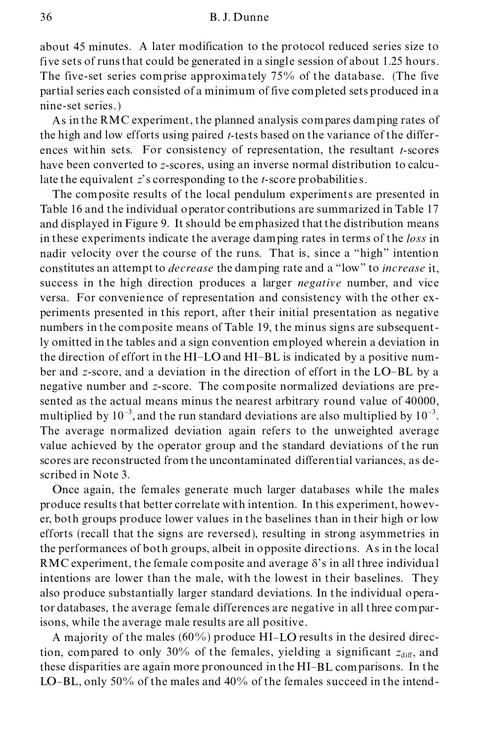#### 36 B. J. Dunne

about 45 minutes. A later modification to the protocol reduced series size to five sets of runs that could be generated in a single session of about 1.25 hours. The five-set series comprise approximately 75% of the database. (The five partial series each consisted of a minimum of five completed sets produced in a nine-set series.)

As in the RMC experiment, the planned analysis compares damping rates of the high and low efforts using paired *t*-tests based on the variance of the differ ences within sets. For consistency of representation, the resultant *t*-scores have been converted to *z*-scores, using an inverse normal distribution to calculate the equivalent *z*'s corresponding to the *t*-score probabilitie s.

The composite results of the local pendulum experiments are presented in Table 16 and the individual operator contributions are summarized in Table 17 and displayed in Figure 9. It should be emphasized that the distribution means in these experiments indicate the average damping rates in terms of the *loss* in nadir velocity over the course of the runs. That is, since a "high" intention constitutes an attempt to *decrease* the damping rate and a ª lowº to *increase* it, success in the high direction produces a larger *negative* number, and vice versa. For convenience of representation and consistency with the other ex periments presented in this report, after their initial presentation as negative numbers in the composite means of Table 19, the minus signs are subsequently omitted in the tables and a sign convention employed wherein a deviation in the direction of effort in the HI-LO and HI-BL is indicated by a positive num ber and *z*-score, and a deviation in the direction of effort in the LO-BL by a negative number and *z*-score. The composite normalized deviations are presented as the actual means minus the nearest arbitrary round value of 40000, multiplied by  $10^{-3}$ , and the run standard deviations are also multiplied by  $10^{-3}$ . The average normalized deviation again refers to the unweighted average value achieved by the operator group and the standard deviations of the run scores are reconstructed from the uncontaminated differential variances, as described in Note 3.

Once again, the females generate much larger databases while the males produce results that better correlate with intention. In this experiment, howev er, both groups produce lower values in the baselines than in their high or low efforts (recall that the signs are reversed), resulting in strong asymmetries in the performances of both groups, albeit in opposite directions. As in the local RMC experiment, the female composite and average  $\delta$ 's in all three individual intentions are lower than the male, with the lowest in their baselines. They also produce substantially larger standard deviations. In the individual operator databases, the average female differences are negative in all three comparisons, while the average male results are all positive.

A majority of the males (60%) produce HI-LO results in the desired direction, compared to only 30% of the females, yielding a significant  $z_{diff}$ , and these disparities are again more pronounced in the HI-BL comparisons. In the LO-BL, only 50% of the males and 40% of the females succeed in the intend-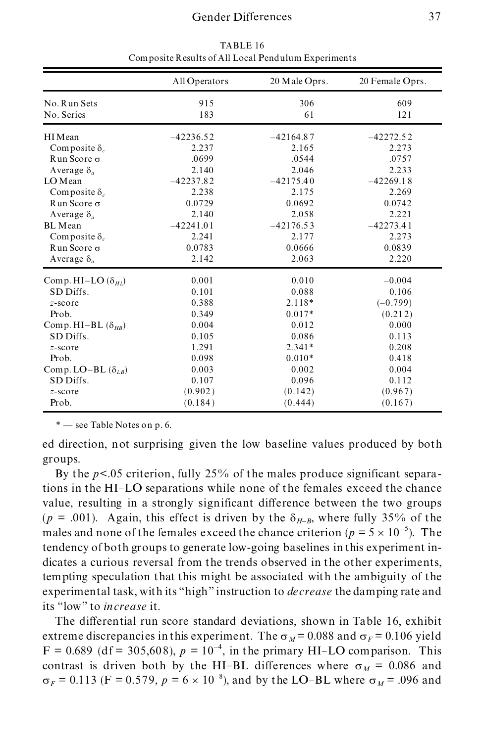|                             | All Operators | 20 Male Oprs. | 20 Female Oprs. |
|-----------------------------|---------------|---------------|-----------------|
| No. Run Sets                | 915           | 306           | 609             |
| No. Series                  | 183           | 61            | 121             |
| HI Mean                     | $-42236.52$   | $-42164.87$   | $-42272.52$     |
| Composite $\delta_c$        | 2.237         | 2.165         | 2.273           |
| $Run Score \sigma$          | .0699         | .0544         | .0757           |
| Average $\delta_a$          | 2.140         | 2.046         | 2.233           |
| LO Mean                     | $-42237.82$   | $-42175.40$   | $-42269.18$     |
| Composite $\delta_c$        | 2.238         | 2.175         | 2.269           |
| $R$ un Score $\sigma$       | 0.0729        | 0.0692        | 0.0742          |
| Average $\delta_a$          | 2.140         | 2.058         | 2.221           |
| <b>BL</b> Mean              | $-42241.01$   | $-42176.53$   | $-42273.41$     |
| Composite $\delta_c$        | 2.241         | 2.177         | 2.273           |
| Run Score $\sigma$          | 0.0783        | 0.0666        | 0.0839          |
| Average $\delta_a$          | 2.142         | 2.063         | 2.220           |
| Comp. HI-LO $(\delta_{HI})$ | 0.001         | 0.010         | $-0.004$        |
| SD Diffs.                   | 0.101         | 0.088         | 0.106           |
| $z$ -score                  | 0.388         | $2.118*$      | $(-0.799)$      |
| Prob.                       | 0.349         | $0.017*$      | (0.212)         |
| Comp. HI-BL $(\delta_{HR})$ | 0.004         | 0.012         | 0.000           |
| SD Diffs.                   | 0.105         | 0.086         | 0.113           |
| z-score                     | 1.291         | $2.341*$      | 0.208           |
| Prob.                       | 0.098         | $0.010*$      | 0.418           |
| Comp. LO-BL $(\delta_{LR})$ | 0.003         | 0.002         | 0.004           |
| SD Diffs.                   | 0.107         | 0.096         | 0.112           |
| $z$ -score                  | (0.902)       | (0.142)       | (0.967)         |
| Prob.                       | (0.184)       | (0.444)       | (0.167)         |

TABLE 16 Composite Results of All Local Pendulum Experiments

ed direction, not surprising given the low baseline values produced by both groups.

By the  $p<.05$  criterion, fully 25% of the males produce significant separations in the HI-LO separations while none of the females exceed the chance value, resulting in a strongly significant difference between the two groups ( $p = .001$ ). Again, this effect is driven by the  $\delta_{H-R}$ , where fully 35% of the males and none of the females exceed the chance criterion ( $p = 5 \times 10^{-5}$ ). The tendency of both groups to generate low-going baselines in this experiment in dicates a curious reversal from the trends observed in the other experiments, tempting speculation that this might be associated with the ambiguity of the experimental task, with its "high" instruction to *decrease* the damping rate and its ª lowº to *increase* it.

The differential run score standard deviations, shown in Table 16, exhibit extreme discrepancies in this experiment. The  $\sigma_M$  = 0.088 and  $\sigma_F$  = 0.106 yield  $F = 0.689$  (df = 305,608),  $p = 10^{-4}$ , in the primary HI-LO comparison. This contrast is driven both by the HI-BL differences where  $\sigma_M = 0.086$  and  $\sigma_F = 0.113$  (F = 0.579,  $p = 6 \times 10^{-8}$ ), and by the LO-BL where  $\sigma_M = .096$  and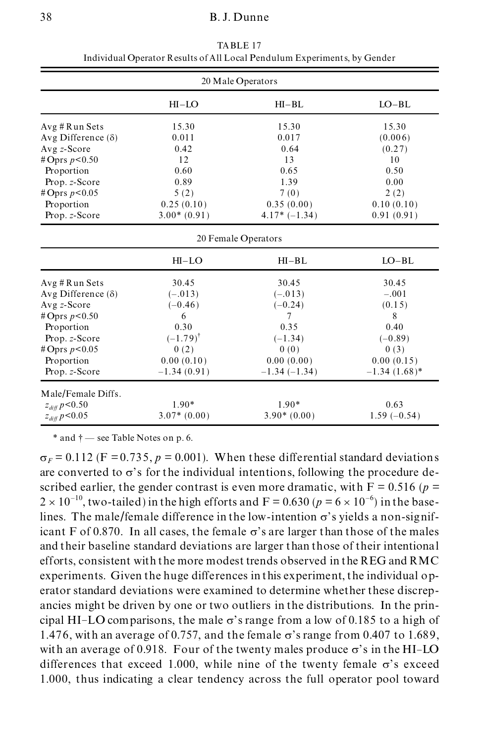| 20 Male Operators         |               |                     |                 |
|---------------------------|---------------|---------------------|-----------------|
|                           | $HI-LO$       | $HI-BL$             | $LO-BL$         |
| Avg # Run Sets            | 15.30         | 15.30               | 15.30           |
| Avg Difference $(\delta)$ | 0.011         | 0.017               | (0.006)         |
| Avg z-Score               | 0.42          | 0.64                | (0.27)          |
| # Oprs $p < 0.50$         | 12            | 13                  | 10              |
| Proportion                | 0.60          | 0.65                | 0.50            |
| Prop. z-Score             | 0.89          | 1.39                | 0.00            |
| #Oprs $p < 0.05$          | 5(2)          | 7(0)                | 2(2)            |
| Proportion                | 0.25(0.10)    | 0.35(0.00)          | 0.10(0.10)      |
| Prop. z-Score             | $3.00*(0.91)$ | $4.17*(-1.34)$      | 0.91(0.91)      |
|                           |               | 20 Female Operators |                 |
|                           | $HI-LO$       | $HI-BL$             | $LO-BL$         |
| Avg # Run Sets            | 30.45         | 30.45               | 30.45           |
| Avg Difference $(\delta)$ | $(-.013)$     | $(-.013)$           | $-.001$         |
| Avg z-Score               | $(-0.46)$     | $(-0.24)$           | (0.15)          |
| #Oprs $p < 0.50$          | 6             | 7                   | 8               |
| Proportion                | 0.30          | 0.35                | 0.40            |
| Prop. z-Score             | $(-1.79)^{t}$ | $(-1.34)$           | $(-0.89)$       |
| #Oprs $p < 0.05$          | 0(2)          | 0(0)                | 0(3)            |
| Proportion                | 0.00(0.10)    | 0.00(0.00)          | 0.00(0.15)      |
| Prop. z-Score             | $-1.34(0.91)$ | $-1.34(-1.34)$      | $-1.34(1.68)$ * |
| Male/Female Diffs.        |               |                     |                 |
| $z_{\it diff}$ $p{<}0.50$ | $1.90*$       | $1.90*$             | 0.63            |
| $z_{diff} p<0.05$         | $3.07*(0.00)$ | $3.90*(0.00)$       | $1.59(-0.54)$   |

TABLE 17 Individual Operator Results of All Local Pendulum Experiments, by Gender

 $*$  and  $\dagger$  — see Table Notes on p. 6.

 $\sigma_F = 0.112$  (F = 0.735,  $p = 0.001$ ). When these differential standard deviations are converted to  $\sigma$ 's for the individual intentions, following the procedure described earlier, the gender contrast is even more dramatic, with  $F = 0.516$  ( $p =$  $2 \times 10^{-10}$ , two-tailed) in the high efforts and F = 0.630 ( $p = 6 \times 10^{-6}$ ) in the baselines. The male/female difference in the low-intention  $\sigma$ 's yields a non-significant F of 0.870. In all cases, the female  $\sigma$ 's are larger than those of the males and their baseline standard deviations are larger than those of their intentional efforts, consistent with the more modest trends observed in the REG and RMC experiments. Given the huge differences in this experiment, the individual operator standard deviations were examined to determine whether these discrep ancies might be driven by one or two outliers in the distributions. In the prin cipal HI-LO comparisons, the male  $\sigma$ 's range from a low of 0.185 to a high of 1.476, with an average of 0.757, and the female  $\sigma$ 's range from 0.407 to 1.689, with an average of 0.918. Four of the twenty males produce  $\sigma$ 's in the HI-LO differences that exceed 1.000, while nine of the twenty female  $\sigma$ 's exceed 1.000, thus indicating a clear tendency across the full operator pool toward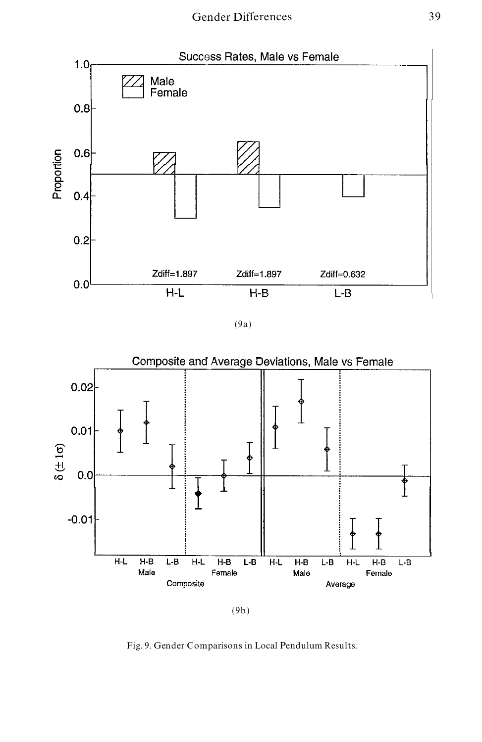

(9a)



Fig. 9. Gender Comparisons in Local Pendulum Results.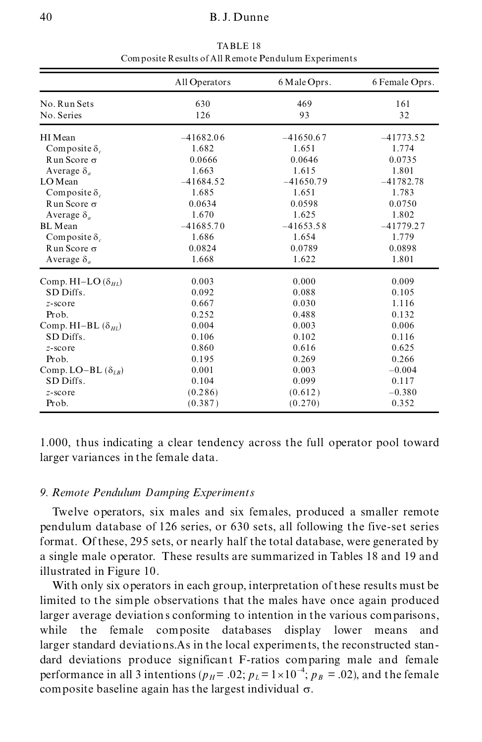|                             | All Operators | 6 Male Oprs. | 6 Female Oprs. |
|-----------------------------|---------------|--------------|----------------|
| No. Run Sets                | 630           | 469          | 161            |
| No. Series                  | 126           | 93           | 32             |
| HI Mean                     | $-41682.06$   | $-41650.67$  | $-41773.52$    |
| Composite $\delta_c$        | 1.682         | 1.651        | 1.774          |
| R un Score $\sigma$         | 0.0666        | 0.0646       | 0.0735         |
| Average $\delta_a$          | 1.663         | 1.615        | 1.801          |
| LO Mean                     | $-41684.52$   | $-41650.79$  | $-41782.78$    |
| Composite $\delta$ .        | 1.685         | 1.651        | 1.783          |
| R un Score $\sigma$         | 0.0634        | 0.0598       | 0.0750         |
| Average $\delta_a$          | 1.670         | 1.625        | 1.802          |
| BL Mean                     | $-41685.70$   | $-41653.58$  | $-41779.27$    |
| Composite $\delta$ .        | 1.686         | 1.654        | 1.779          |
| $Run Score \sigma$          | 0.0824        | 0.0789       | 0.0898         |
| Average $\delta_a$          | 1.668         | 1.622        | 1.801          |
| Comp. HI-LO $(\delta_{HI})$ | 0.003         | 0.000        | 0.009          |
| SD Diffs.                   | 0.092         | 0.088        | 0.105          |
| $z$ -score                  | 0.667         | 0.030        | 1.116          |
| Prob.                       | 0.252         | 0.488        | 0.132          |
| Comp. HI-BL $(\delta_{HI})$ | 0.004         | 0.003        | 0.006          |
| SD Diffs.                   | 0.106         | 0.102        | 0.116          |
| $z$ -score                  | 0.860         | 0.616        | 0.625          |
| Prob.                       | 0.195         | 0.269        | 0.266          |
| Comp. LO-BL $(\delta_{IR})$ | 0.001         | 0.003        | $-0.004$       |
| SD Diffs.                   | 0.104         | 0.099        | 0.117          |
| $z$ -score                  | (0.286)       | (0.612)      | $-0.380$       |
| Prob.                       | (0.387)       | (0.270)      | 0.352          |

TABLE 18 Composite Results of All Remote Pendulum Experiments

1.000, thus indicating a clear tendency across the full operator pool toward larger variances in the female data.

# *9. Remote Pendulum Damping Experiments*

Twelve operators, six males and six females, produced a smaller remote pendulum database of 126 series, or 630 sets, all following the five-set series format. Of these, 295 sets, or nearly half the total database, were generated by a single male operator. These results are summarized in Tables 18 and 19 and illustrated in Figure 10.

With only six operators in each group, interpretation of these results must be limited to the simple observations that the males have once again produced larger average deviations conforming to intention in the various comparisons, while the female composite databases display lower means and larger standard deviations.As in the local experiments, the reconstructed stan dard deviations produce significant F-ratios comparing male and female performance in all 3 intentions ( $p_H$  = .02;  $p_L$  = 1 $\times$ 10<sup>-4</sup>;  $p_B$  = .02), and the female composite baseline again has the largest individual  $\sigma$ .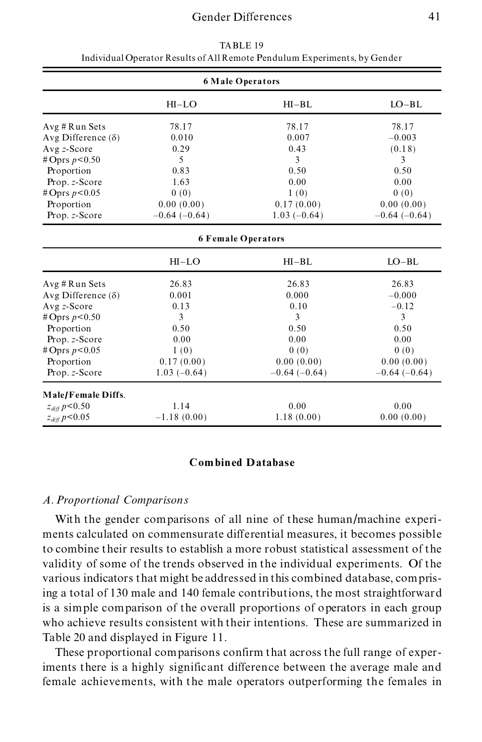| <b>6 Male Operators</b>   |                |                           |                |
|---------------------------|----------------|---------------------------|----------------|
|                           | $HI-LO$        | $HI-BL$                   | $LO-BL$        |
| Avg # Run Sets            | 78.17          | 78.17                     | 78.17          |
| Avg Difference $(\delta)$ | 0.010          | 0.007                     | $-0.003$       |
| Avg z-Score               | 0.29           | 0.43                      | (0.18)         |
| # Oprs $p < 0.50$         | 5              | $\mathbf{3}$              | 3              |
| Proportion                | 0.83           | 0.50                      | 0.50           |
| Prop. z-Score             | 1.63           | 0.00                      | 0.00           |
| #Oprs $p < 0.05$          | 0(0)           | 1(0)                      | 0(0)           |
| Proportion                | 0.00(0.00)     | 0.17(0.00)                | 0.00(0.00)     |
| Prop. z-Score             | $-0.64(-0.64)$ | $1.03(-0.64)$             | $-0.64(-0.64)$ |
|                           |                | <b>6 Female Operators</b> |                |
|                           | $HI-LO$        | $HI-BL$                   | $LO-BL$        |
| Avg # Run Sets            | 26.83          | 26.83                     | 26.83          |
| Avg Difference $(\delta)$ | 0.001          | 0.000                     | $-0.000$       |
| $Avg z-Score$             | 0.13           | 0.10                      | $-0.12$        |
| # Oprs $p < 0.50$         | 3              | 3                         | 3              |
| Proportion                | 0.50           | 0.50                      | 0.50           |
| Prop. z-Score             | 0.00           | 0.00                      | 0.00           |
| #Oprs $p < 0.05$          | 1(0)           | 0(0)                      | 0(0)           |
| Proportion                | 0.17(0.00)     | 0.00(0.00)                | 0.00(0.00)     |
| Prop. z-Score             | $1.03(-0.64)$  | $-0.64(-0.64)$            | $-0.64(-0.64)$ |
| Male/Female Diffs.        |                |                           |                |
| $z_{diff} p<0.50$         | 1.14           | 0.00                      | 0.00           |
| $z_{diff} p<0.05$         | $-1.18(0.00)$  | 1.18(0.00)                | 0.00(0.00)     |

TABLE 19 Individual Operator Results of All Remote Pendulum Experiments, by Gender

## **Combined Database**

## *A. Proportional Comparisons*

With the gender comparisons of all nine of these human/machine experi ments calculated on commensurate differential measures, it becomes possible to combine their results to establish a more robust statistical assessment of the validity of some of the trends observed in the individual experiments. Of the various indicators that might be addressed in this combined database, comprising a total of 130 male and 140 female contributions, the most straightforward is a simple comparison of the overall proportions of operators in each group who achieve results consistent with their intentions. These are summarized in Table 20 and displayed in Figure 11.

These proportional comparisons confirm that across the full range of experiments there is a highly significant difference between the average male and female achievements, with the male operators outperforming the females in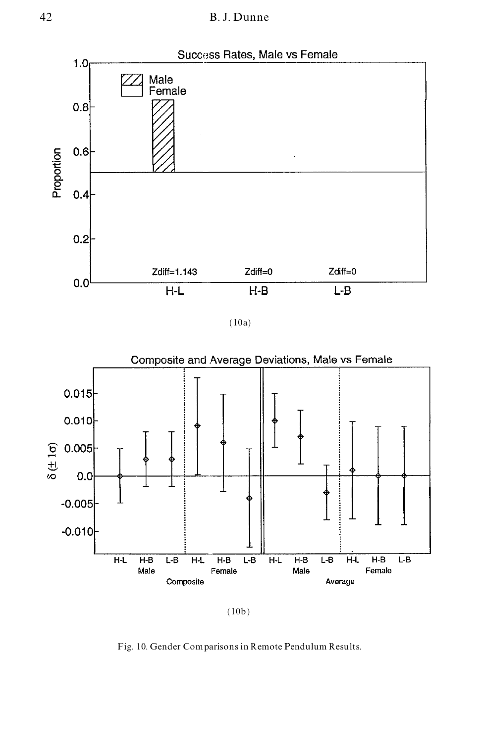

(10a)





Fig. 10. Gender Comparisons in Remote Pendulum Results.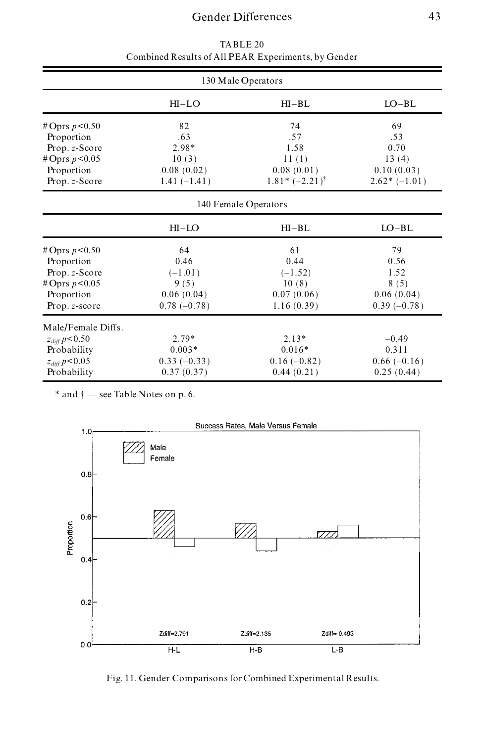# Gender Differences 43

| 130 Male Operators |               |                           |                |
|--------------------|---------------|---------------------------|----------------|
|                    | $HI-LO$       | $HI-BL$                   | $LO-BL$        |
| # Oprs $p < 0.50$  | 82            | 74                        | 69             |
| Proportion         | .63           | .57                       | .53            |
| Prop. z-Score      | 2.98*         | 1.58                      | 0.70           |
| #Oprs $p < 0.05$   | 10(3)         | 11(1)                     | 13(4)          |
| Proportion         | 0.08(0.02)    | 0.08(0.01)                | 0.10(0.03)     |
| Prop. z-Score      | $1.41(-1.41)$ | $1.81* (-2.21)^{\dagger}$ | $2.62*(-1.01)$ |
|                    |               | 140 Female Operators      |                |
|                    | $HI-LO$       | $HI-BL$                   | $LO-BL$        |
| # Oprs $p < 0.50$  | 64            | 61                        | 79             |
| Proportion         | 0.46          | 0.44                      | 0.56           |
| Prop. z-Score      | $(-1.01)$     | $(-1.52)$                 | 1.52           |
| # Oprs $p < 0.05$  | 9(5)          | 10(8)                     | 8(5)           |
| Proportion         | 0.06(0.04)    | 0.07(0.06)                | 0.06(0.04)     |
| Prop. z-score      | $0.78(-0.78)$ | 1.16(0.39)                | $0.39(-0.78)$  |
| Male/Female Diffs. |               |                           |                |
| $z_{diff} p<0.50$  | $2.79*$       | $2.13*$                   | $-0.49$        |
| Probability        | $0.003*$      | $0.016*$                  | 0.311          |
| $z_{diff} p<0.05$  | $0.33(-0.33)$ | $0.16(-0.82)$             | $0.66(-0.16)$  |
| Probability        | 0.37(0.37)    | 0.44(0.21)                | 0.25(0.44)     |
|                    |               |                           |                |

TABLE 20 Combined Results of All PEAR Experiments, by Gender

 $*$  and  $\dagger$   $-$  see Table Notes on p. 6.



Fig. 11. Gender Comparisons for Combined Experimental Results.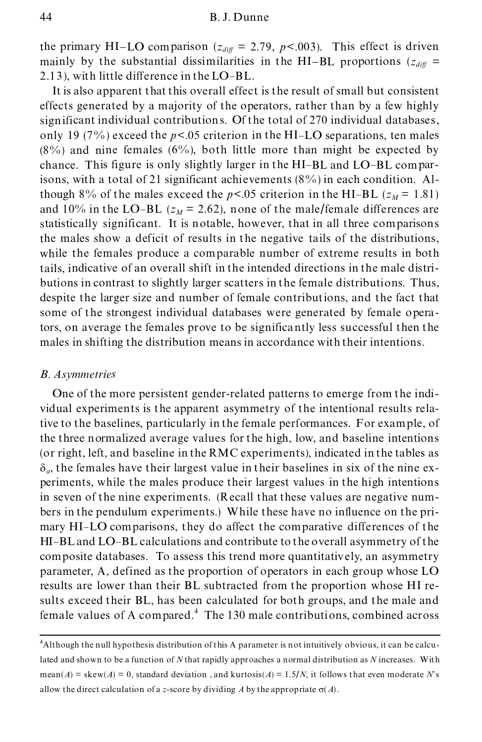the primary HI-LO comparison  $(z_{diff} = 2.79, p < .003)$ . This effect is driven mainly by the substantial dissimilarities in the HI-BL proportions  $(z_{diff} =$ 2.13), with little difference in the LO-BL.

It is also apparent that this overall effect is the result of small but consistent effects generated by a majority of the operators, rather than by a few highly significant individual contributions. Of the total of 270 individual databases, only 19 (7%) exceed the  $p<0.05$  criterion in the HI-LO separations, ten males  $(8\%)$  and nine females  $(6\%)$ , both little more than might be expected by chance. This figure is only slightly larger in the HI-BL and LO-BL comparisons, with a total of 21 significant achievements (8%) in each condition. Although 8% of the males exceed the  $p<0.05$  criterion in the HI-BL ( $z_M$  = 1.81) and 10% in the LO-BL ( $z_M$  = 2.62), none of the male/female differences are statistically significant. It is notable, however, that in all three comparisons the males show a deficit of results in the negative tails of the distributions, while the females produce a comparable number of extreme results in both tails, indicative of an overall shift in the intended directions in the male distri butions in contrast to slightly larger scatters in the female distributions. Thus, despite the larger size and number of female contributions, and the fact that some of the strongest individual databases were generated by female operators, on average the females prove to be significantly less successful then the males in shifting the distribution means in accordance with their intentions.

## *B. Asymmetries*

One of the more persistent gender-related patterns to emerge from the indi vidual experiments is the apparent asymmetry of the intentional results relative to the baselines, particularly in the female performances. For example, of the three normalized average values for the high, low, and baseline intentions (or right, left, and baseline in the RMC experiments), indicated in the tables as  $\delta_a$ , the females have their largest value in their baselines in six of the nine experiments, while the males produce their largest values in the high intentions in seven of the nine experiments. (Recall that these values are negative num bers in the pendulum experiments.) While these have no influence on the pri mary HI-LO comparisons, they do affect the comparative differences of the HI-BL and LO-BL calculations and contribute to the overall asymmetry of the composite databases. To assess this trend more quantitativ ely, an asymmetry parameter, A, defined as the proportion of operators in each group whose LO results are lower than their BL subtracted from the proportion whose HI results exceed their BL, has been calculated for both groups, and the male and female values of A compared.<sup>4</sup> The 130 male contributions, combined across

<sup>4</sup>Although the null hypothesis distribution of this A parameter is not intuitively obvious, it can be calculated and shown to be a function of *N* that rapidly approaches a normal distribution as *N* increases. With mean(*A*) = skew(*A*) = 0, standard deviation, and kurtosis(*A*) = 1.5/*N*, it follows that even moderate *N*'s allow the direct calculation of a *z*-score by dividing A by the appropriate  $\sigma(A)$ .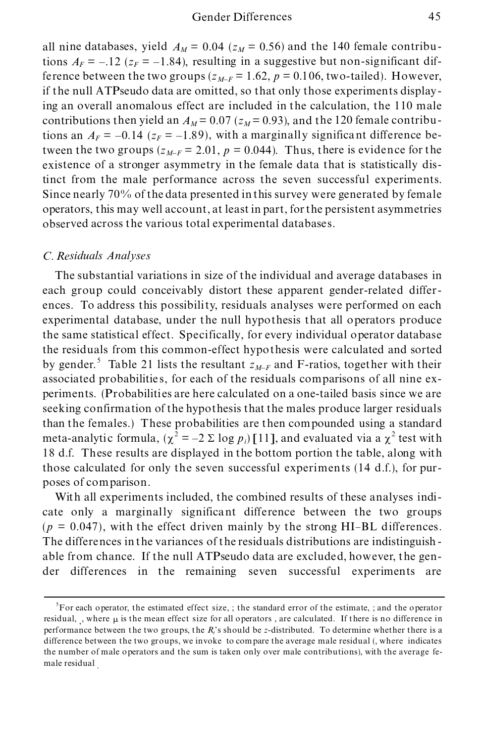all nine databases, yield  $A_M = 0.04$  ( $z_M = 0.56$ ) and the 140 female contributions  $A_F = -12$  ( $z_F = -1.84$ ), resulting in a suggestive but non-significant difference between the two groups  $(z_{M-F} = 1.62, p = 0.106$ , two-tailed). However, if the null ATPseudo data are omitted, so that only those experiments displaying an overall anomalous effect are included in the calculation, the 110 male contributions then yield an  $A_M$  = 0.07 ( $z_M$  = 0.93), and the 120 female contributions an  $A_F = -0.14$  ( $z_F = -1.89$ ), with a marginally significant difference between the two groups  $(z_{M-F} = 2.01, p = 0.044)$ . Thus, there is evidence for the existence of a stronger asymmetry in the female data that is statistically distinct from the male performance across the seven successful experiments. Since nearly 70% of the data presented in this survey were generated by female operators, this may well account, at least in part, for the persistent asymmetries observed across the various total experimental databases.

# *C. Residuals Analyses*

The substantial variations in size of the individual and average databases in each group could conceivably distort these apparent gender-related differ ences. To address this possibility, residuals analyses were performed on each experimental database, under the null hypothesis that all operators produce the same statistical effect. Specifically, for every individual operator database the residuals from this common-effect hypothesis were calculated and sorted by gender.<sup>5</sup> Table 21 lists the resultant  $z_{M-F}$  and F-ratios, together with their associated probabilitie s, for each of the residuals comparisons of all nine ex periments. (Probabilities are here calculated on a one-tailed basis since we are seeking confirmation of the hypothesis that the males produce larger residuals than the females.) These probabilities are then compounded using a standard meta-analytic formula,  $(\chi^2 = -2 \Sigma \log p_i)$  [11], and evaluated via a  $\chi^2$  test with 18 d.f. These results are displayed in the bottom portion the table, along with those calculated for only the seven successful experiments  $(14 d.f.)$ , for purposes of comparison.

With all experiments included, the combined results of these analyses indi cate only a marginally significant difference between the two groups  $(p = 0.047)$ , with the effect driven mainly by the strong HI-BL differences. The differences in the variances of the residuals distributions are indistinguish able from chance. If the null ATPseudo data are excluded, however, the gen der differences in the remaining seven successful experiments are

<sup>&</sup>lt;sup>5</sup>For each operator, the estimated effect size, ; the standard error of the estimate, ; and the operator residual, , where  $\mu$  is the mean effect size for all operators, are calculated. If there is no difference in performance between the two groups, the *Ri*'s should be *z*-distributed. To determine whether there is a difference between the two groups, we invoke to compare the average male residual (, where indicates the number of male operators and the sum is taken only over male contributions), with the average fe male residual .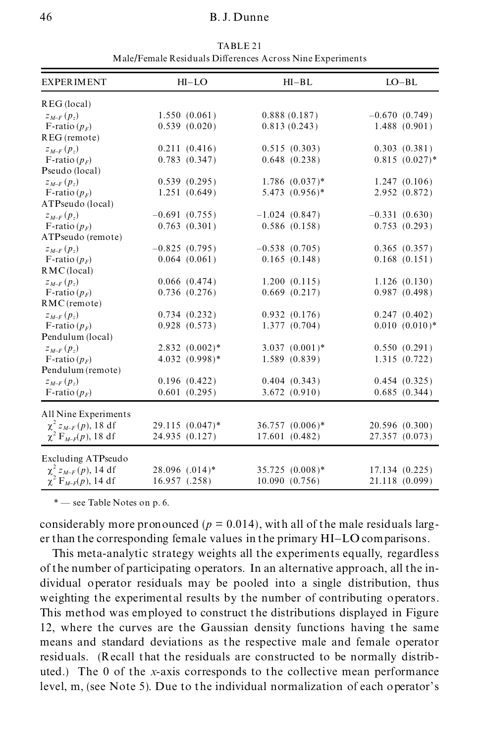## 46 B. J. Dunne

| <b>EXPERIMENT</b>           | $HI-LO$           | $HI-BL$             | $LO-BL$           |
|-----------------------------|-------------------|---------------------|-------------------|
| REG (local)                 |                   |                     |                   |
| $Z_{M-F}(p_z)$              | 1.550(0.061)      | 0.888(0.187)        | $-0.670(0.749)$   |
| F-ratio $(p_F)$             | 0.539(0.020)      | 0.813(0.243)        | 1.488(0.901)      |
| REG (remote)                |                   |                     |                   |
| $Z_{M-F}(p_z)$              | 0.211(0.416)      | 0.515(0.303)        | 0.303(0.381)      |
| F-ratio $(p_F)$             | 0.783(0.347)      | $0.648$ $(0.238)$   | $0.815(0.027)$ *  |
| Pseudo (local)              |                   |                     |                   |
| $Z_{M-F}(p_z)$              | 0.539(0.295)      | $1.786$ $(0.037)$ * | 1.247(0.106)      |
| F-ratio $(p_F)$             | 1.251(0.649)      | $5.473$ $(0.956)*$  | 2.952 (0.872)     |
| ATPseudo (local)            |                   |                     |                   |
| $Z_{M-F}(p_z)$              | $-0.691(0.755)$   | $-1.024(0.847)$     | $-0.331(0.630)$   |
| F-ratio $(p_F)$             | 0.763(0.301)      | 0.586(0.158)        | 0.753(0.293)      |
| ATPseudo (remote)           |                   |                     |                   |
| $z_{M-F}(p_z)$              | $-0.825(0.795)$   | $-0.538(0.705)$     | 0.365(0.357)      |
| F-ratio $(p_F)$             | 0.064(0.061)      | 0.165(0.148)        | $0.168$ $(0.151)$ |
| RMC(local)                  |                   |                     |                   |
| $z_{M-F}(p_z)$              | $0.066$ $(0.474)$ | 1.200(0.115)        | 1.126(0.130)      |
| F-ratio $(p_F)$             | 0.736(0.276)      | $0.669$ $(0.217)$   | 0.987(0.498)      |
| $RMC$ (remote)              |                   |                     |                   |
| $z_{M-F}(p_z)$              | 0.734(0.232)      | 0.932(0.176)        | 0.247(0.402)      |
| F-ratio $(p_F)$             | $0.928$ $(0.573)$ | 1.377(0.704)        | $0.010(0.010)*$   |
| Pendulum (local)            |                   |                     |                   |
| $Z_{M-F}(p_z)$              | $2.832(0.002)*$   | $3.037 (0.001)^*$   | 0.550(0.291)      |
| F-ratio $(p_F)$             | $4.032(0.998)*$   | 1.589(0.839)        | 1.315(0.722)      |
| Pendulum (remote)           |                   |                     |                   |
| $z_{M-F}(p_z)$              | 0.196(0.422)      | 0.404(0.343)        | 0.454(0.325)      |
| F-ratio $(p_F)$             | 0.601(0.295)      | 3.672(0.910)        | 0.685(0.344)      |
| All Nine Experiments        |                   |                     |                   |
| $\chi^2 z_{M-F}(p)$ , 18 df | 29.115 (0.047)*   | 36.757 (0.006)*     | 20.596 (0.300)    |
| $\chi^2 F_{M-F}(p)$ , 18 df | 24.935 (0.127)    | 17.601 (0.482)      | 27.357 (0.073)    |
|                             |                   |                     |                   |
| Excluding ATPseudo          |                   |                     |                   |
| $\chi^2 z_{M-F}(p)$ , 14 df | 28.096 (.014)*    | 35.725 (0.008)*     | 17.134(0.225)     |
| $\chi^2 F_{M-F}(p)$ , 14 df | $16.957$ $(.258)$ | 10.090(0.756)       | 21.118 (0.099)    |

TABLE 21 Male/Female Residuals Differences Across Nine Experiments

\* – see Table Notes on p. 6.

considerably more pronounced ( $p = 0.014$ ), with all of the male residuals larger than the corresponding female values in the primary HI-LO comparisons.

This meta-analytic strategy weights all the experiments equally, regardless of the number of participating operators. In an alternative approach, all the in dividual operator residuals may be pooled into a single distribution, thus weighting the experimental results by the number of contributing operators. This method was employed to construct the distributions displayed in Figure 12, where the curves are the Gaussian density functions having the same means and standard deviations as the respective male and female operator residuals. (Recall that the residuals are constructed to be normally distrib uted.) The 0 of the *x*-axis corresponds to the collective mean performance level, m, (see Note 5). Due to the individual normalization of each operator's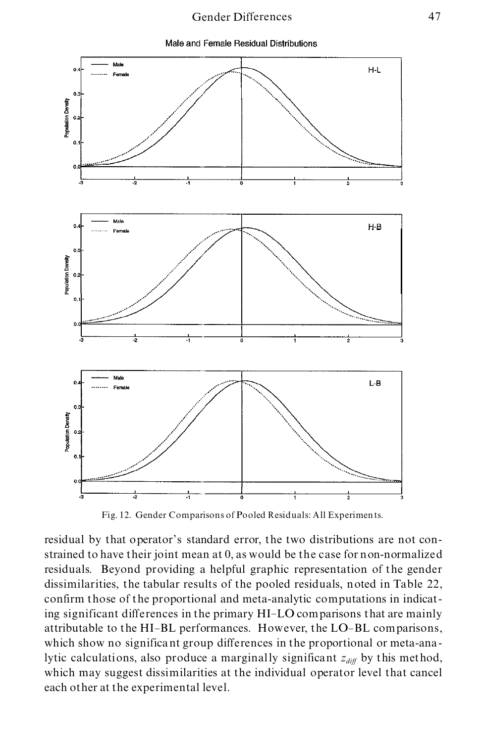# Gender Differences 47





Fig. 12. Gender Comparisons of Pooled Residuals: All Experiments.

residual by that operator's standard error, the two distributions are not constrained to have their joint mean at 0, as would be the case for non-normalized residuals. Beyond providing a helpful graphic representation of the gender dissimilarities, the tabular results of the pooled residuals, noted in Table 22, confirm those of the proportional and meta-analytic computations in indicating significant differences in the primary HI-LO comparisons that are mainly attributable to the HI-BL performances. However, the LO-BL comparisons, which show no significant group differences in the proportional or meta-analytic calculations, also produce a marginally significant  $z_{diff}$  by this method, which may suggest dissimilarities at the individual operator level that cancel each other at the experimental level.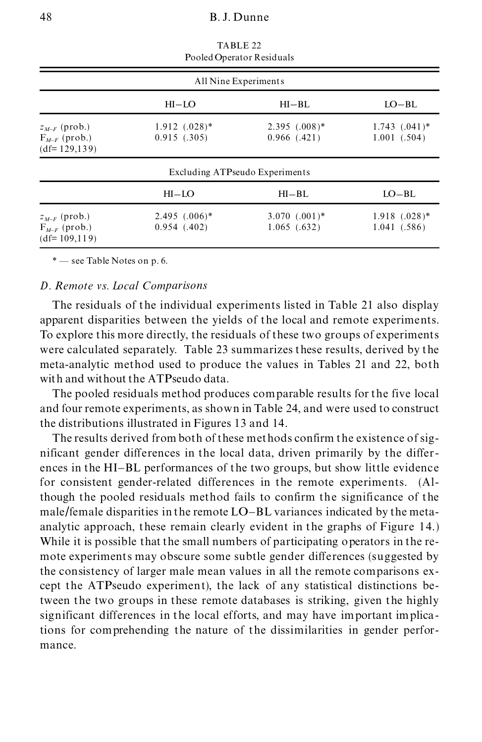|                                                           |                                   | Pooled Operator Residuals          |                                        |
|-----------------------------------------------------------|-----------------------------------|------------------------------------|----------------------------------------|
|                                                           |                                   | All Nine Experiments               |                                        |
|                                                           | $HI-LO$                           | $HI-BL$                            | $LO-BL$                                |
| $z_{M-F}$ (prob.)<br>$F_{M-F}$ (prob.)<br>$(df=129, 139)$ | $1.912$ $(.028)*$<br>0.915(0.305) | $2.395(.008)*$<br>$0.966$ $(.421)$ | $1.743$ $(.041)^*$<br>$1.001$ $(.504)$ |
|                                                           |                                   | Excluding ATPseudo Experiments     |                                        |
|                                                           | $HI-LO$                           | $HI-BL$                            | $LO-BL$                                |
| $z_{M-F}$ (prob.)<br>$F_{M-F}$ (prob.)<br>$(df=109,119)$  | $2.495$ $(.006)*$<br>0.954(0.402) | $3.070$ $(.001)*$<br>1.065(0.632)  | $1.918$ $(.028)*$<br>1.041(0.586)      |

TABLE 22

## *D. Remote vs. Local Comparisons*

The residuals of the individual experiments listed in Table 21 also display apparent disparities between the yields of the local and remote experiments. To explore this more directly, the residuals of these two groups of experiments were calculated separately. Table 23 summarizes these results, derived by the meta-analytic method used to produce the values in Tables 21 and 22, both with and without the ATPseudo data.

The pooled residuals method produces comparable results for the five local and four remote experiments, as shown in Table 24, and were used to construct the distributions illustrated in Figures 13 and 14.

The results derived from both of these methods confirm the existence of sig nificant gender differences in the local data, driven primarily by the differ ences in the HI-BL performances of the two groups, but show little evidence for consistent gender-related differences in the remote experiments. (Although the pooled residuals method fails to confirm the significance of the male/female disparities in the remote LO-BL variances indicated by the meta analytic approach, these remain clearly evident in the graphs of Figure 14.) While it is possible that the small numbers of participating operators in the re mote experiments may obscure some subtle gender differences (suggested by the consistency of larger male mean values in all the remote comparisons ex cept the ATPseudo experiment), the lack of any statistical distinctions between the two groups in these remote databases is striking, given the highly significant differences in the local efforts, and may have important implications for comprehending the nature of the dissimilarities in gender perfor mance.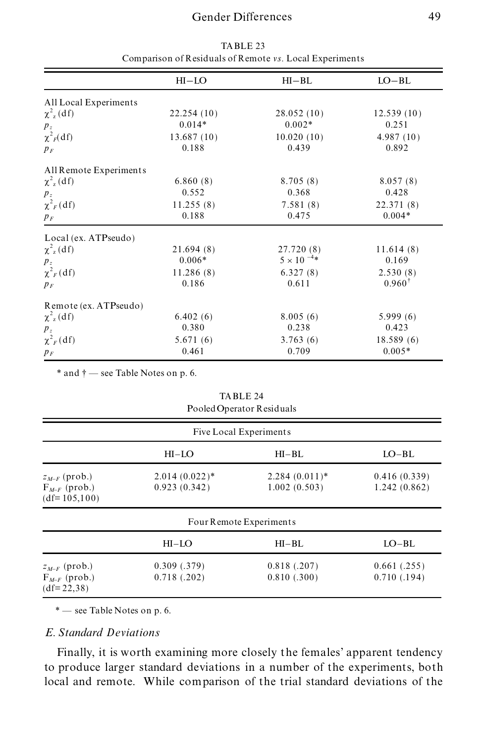# Gender Differences 49

|                            | $HI-LO$    | $HI-BL$             | $LO-BL$    |  |
|----------------------------|------------|---------------------|------------|--|
| All Local Experiments      |            |                     |            |  |
| $\chi^2_{\rm z}$ (df)      | 22.254(10) | 28.052(10)          | 12.539(10) |  |
| $p_z$                      | $0.014*$   | $0.002*$            | 0.251      |  |
| $\chi^2$ <sub>F</sub> (df) | 13.687(10) | 10.020(10)          | 4.987(10)  |  |
| $p_F$                      | 0.188      | 0.439               | 0.892      |  |
| All Remote Experiments     |            |                     |            |  |
| $\chi^2_{\rm z}$ (df)      | 6.860(8)   | 8.705(8)            | 8.057(8)   |  |
| $p_z$                      | 0.552      | 0.368               | 0.428      |  |
| $\chi^2$ <sub>F</sub> (df) | 11.255(8)  | 7.581(8)            | 22.371 (8) |  |
| $p_F$                      | 0.188      | 0.475               | $0.004*$   |  |
| Local (ex. ATPseudo)       |            |                     |            |  |
| $\chi^2_{\rm z}$ (df)      | 21.694(8)  | 27.720 (8)          | 11.614(8)  |  |
| $p_z$                      | $0.006*$   | $5 \times 10^{-4*}$ | 0.169      |  |
| $\chi^2_F(df)$             | 11.286(8)  | 6.327(8)            | 2.530(8)   |  |
| $p_F$                      | 0.186      | 0.611               | $0.960^+$  |  |
| Remote (ex. ATPseudo)      |            |                     |            |  |
| $\chi^2$ <sub>z</sub> (df) | 6.402(6)   | 8.005(6)            | 5.999(6)   |  |
| $p_z$                      | 0.380      | 0.238               | 0.423      |  |
| $\chi^2$ <sub>F</sub> (df) | 5.671(6)   | 3.763(6)            | 18.589(6)  |  |
| $p_F$                      | 0.461      | 0.709               | $0.005*$   |  |

TABLE 23 Comparison of Residuals of Remote *vs.* Local Experiments

 $*$  and  $\dagger$   $-$  see Table Notes on p. 6.

TABLE 24 Pooled Operator Residuals

| Five Local Experiments                                   |                                 |                                 |                              |  |
|----------------------------------------------------------|---------------------------------|---------------------------------|------------------------------|--|
|                                                          | $HI-LO$                         | $HI-BL$                         | $LO-BL$                      |  |
| $z_{M-F}$ (prob.)<br>$F_{M-F}$ (prob.)<br>$(df=105,100)$ | $2.014(0.022)*$<br>0.923(0.342) | $2.284(0.011)*$<br>1.002(0.503) | 0.416(0.339)<br>1.242(0.862) |  |
|                                                          |                                 | Four Remote Experiments         |                              |  |
|                                                          | $HI-LO$                         | $HI-BL$                         | $LO-BL$                      |  |
| $z_{M-F}$ (prob.)<br>$F_{M-F}$ (prob.)<br>$(df=22,38)$   | 0.309(.379)<br>0.718(.202)      | 0.818(.207)<br>0.810(.300)      | 0.661(.255)<br>0.710(.194)   |  |

\* – see Table Notes on p. 6.

# *E. Standard Deviations*

Finally, it is worth examining more closely the females' apparent tendency to produce larger standard deviations in a number of the experiments, both local and remote. While comparison of the trial standard deviations of the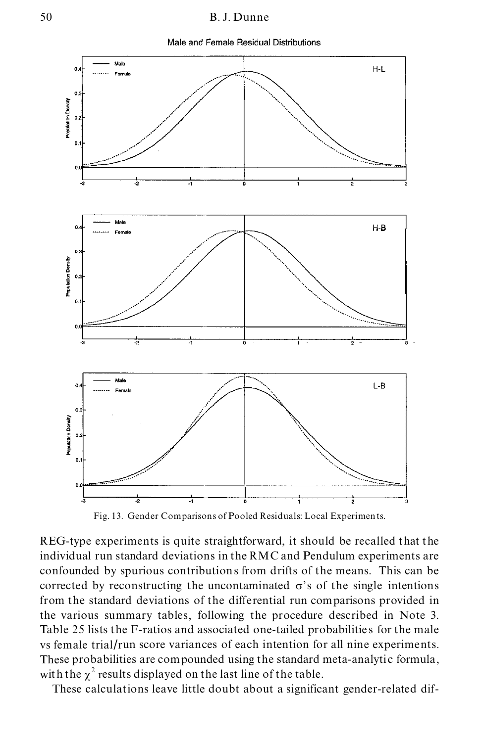Male and Female Residual Distributions



Fig. 13. Gender Comparisons of Pooled Residuals: Local Experiments.

REG-type experiments is quite straightforward, it should be recalled that the individual run standard deviations in the RMC and Pendulum experiments are confounded by spurious contributions from drifts of the means. This can be corrected by reconstructing the uncontaminated  $\sigma$ 's of the single intentions from the standard deviations of the differential run comparisons provided in the various summary tables, following the procedure described in Note 3. Table 25 lists the F-ratios and associated one-tailed probabilitie s for the male vs female trial/run score variances of each intention for all nine experiments. These probabilities are compounded using the standard meta-analytic formula, with the  $\chi^2$  results displayed on the last line of the table.

These calculations leave little doubt about a significant gender-related dif-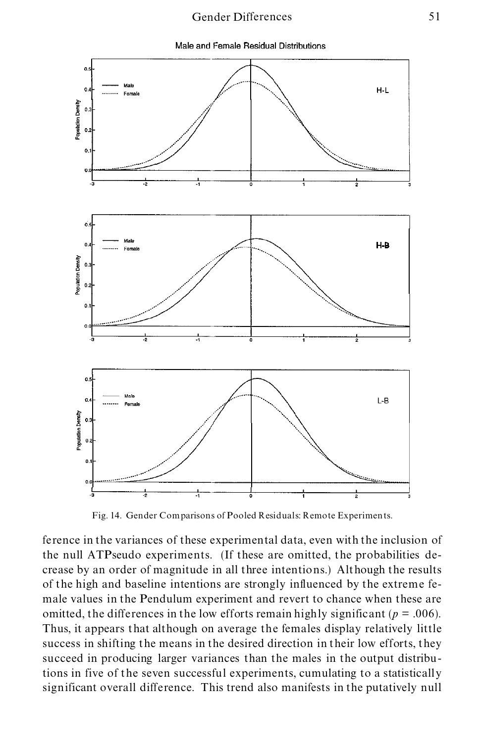# Gender Differences 51





Fig. 14. Gender Comparisons of Pooled Residuals: Remote Experiments.

ference in the variances of these experimental data, even with the inclusion of the null ATPseudo experiments. (If these are omitted, the probabilities de crease by an order of magnitude in all three intentions.) Although the results of the high and baseline intentions are strongly influenced by the extreme fe male values in the Pendulum experiment and revert to chance when these are omitted, the differences in the low efforts remain highly significant ( $p = .006$ ). Thus, it appears that although on average the females display relatively little success in shifting the means in the desired direction in their low efforts, they succeed in producing larger variances than the males in the output distributions in five of the seven successful experiments, cumulating to a statistically significant overall difference. This trend also manifests in the putatively null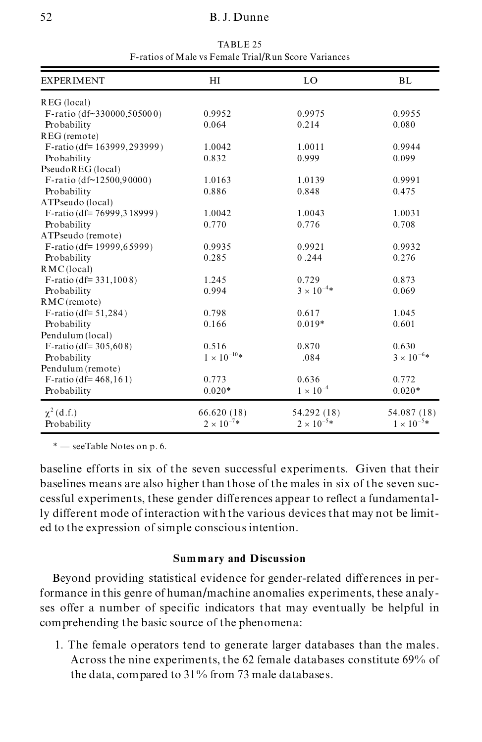# 52 B. J. Dunne

| <b>EXPERIMENT</b>               | HI                   | LO                   | BL                  |
|---------------------------------|----------------------|----------------------|---------------------|
| REG (local)                     |                      |                      |                     |
| F-ratio $(df~330000, 505000)$   | 0.9952               | 0.9975               | 0.9955              |
| Probability                     | 0.064                | 0.214                | 0.080               |
| REG (remote)                    |                      |                      |                     |
| F-ratio (df= $163999, 293999$ ) | 1.0042               | 1.0011               | 0.9944              |
| Probability                     | 0.832                | 0.999                | 0.099               |
| PseudoREG (local)               |                      |                      |                     |
| F-ratio (df~12500,90000)        | 1.0163               | 1.0139               | 0.9991              |
| Probability                     | 0.886                | 0.848                | 0.475               |
| ATPseudo (local)                |                      |                      |                     |
| F-ratio (df= 76999,318999)      | 1.0042               | 1.0043               | 1.0031              |
| Probability                     | 0.770                | 0.776                | 0.708               |
| ATPseudo (remote)               |                      |                      |                     |
| F-ratio (df= $19999, 65999$ )   | 0.9935               | 0.9921               | 0.9932              |
| Probability                     | 0.285                | 0.244                | 0.276               |
| RMC(local)                      |                      |                      |                     |
| $F$ -ratio (df= 331,1008)       | 1.245                | 0.729                | 0.873               |
| Probability                     | 0.994                | $3 \times 10^{-4} *$ | 0.069               |
| RMC (remote)                    |                      |                      |                     |
| F-ratio ( $df = 51,284$ )       | 0.798                | 0.617                | 1.045               |
| Probability                     | 0.166                | $0.019*$             | 0.601               |
| Pendulum (local)                |                      |                      |                     |
| F-ratio (df= $305,608$ )        | 0.516                | 0.870                | 0.630               |
| Probability                     | $1\times10^{-10} *$  | .084                 | $3\times10^{-6} *$  |
| Pendulum (remote)               |                      |                      |                     |
| F-ratio (df= $468,161$ )        | 0.773                | 0.636                | 0.772               |
| Probability                     | $0.020*$             | $1 \times 10^{-4}$   | $0.020*$            |
| $\chi^2$ (d.f.)                 | 66.620(18)           | 54.292 (18)          | 54.087 (18)         |
| Probability                     | $2 \times 10^{-7} *$ | $2 \times 10^{-5*}$  | $1 \times 10^{-5*}$ |

TABLE 25 F-ratios of Male vs Female Trial/Run Score Variances

\* – seeTable Notes on p. 6.

baseline efforts in six of the seven successful experiments. Given that their baselines means are also higher than those of the males in six of the seven suc cessful experiments, these gender differences appear to reflect a fundamentally different mode of interaction with the various devices that may not be limit ed to the expression of simple conscious intention.

## **Sum mary and Discussion**

Beyond providing statistical evidence for gender-related differences in performance in this genre of human/machine anomalies experiments, these analyses offer a number of specific indicators that may eventually be helpful in comprehending the basic source of the phenomena:

1. The female operators tend to generate larger databases than the males. Across the nine experiments, the 62 female databases constitute 69% of the data, compared to 31% from 73 male databases.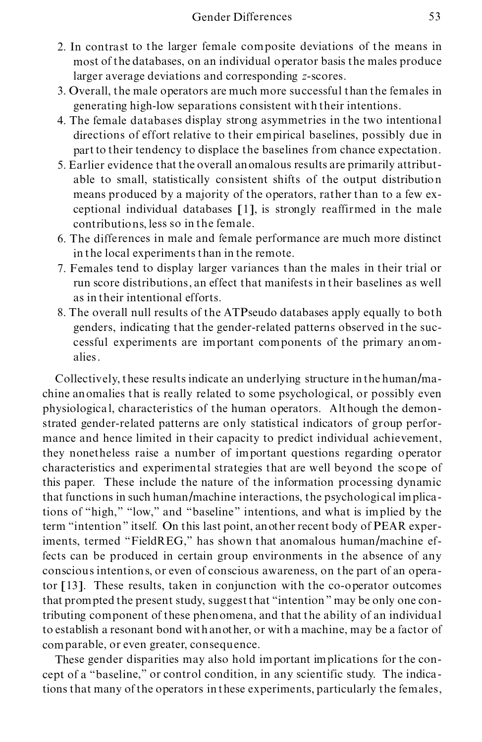- 2. In contrast to the larger female composite deviations of the means in most of the databases, on an individual operator basis the males produce larger average deviations and corresponding *z*-scores.
- 3. Overall, the male operators are much more successful than the females in generating high-low separations consistent with their intentions.
- 4. The female databases display strong asymmetries in the two intentional directions of effort relative to their empirical baselines, possibly due in part to their tendency to displace the baselines from chance expectation.
- 5. Earlier evidence that the overall anomalous results are primarily attribut able to small, statistically consistent shifts of the output distribution means produced by a majority of the operators, rather than to a few ex ceptional individual databases [1], is strongly reaffirmed in the male contributions, less so in the female.
- 6. The differences in male and female performance are much more distinct in the local experiments than in the remote.
- 7. Females tend to display larger variances than the males in their trial or run score distributions, an effect that manifests in their baselines as well as in their intentional efforts.
- 8. The overall null results of the ATPseudo databases apply equally to both genders, indicating that the gender-related patterns observed in the suc cessful experiments are important components of the primary anom alies.

Collectively, these results indicate an underlying structure in the human/ma chine anomalies that is really related to some psychological, or possibly even physiological, characteristics of the human operators. Although the demonstrated gender-related patterns are only statistical indicators of group perfor mance and hence limited in their capacity to predict individual achievement, they nonetheless raise a number of important questions regarding operator characteristics and experimental strategies that are well beyond the scope of this paper. These include the nature of the information processing dynamic that functions in such human/machine interactions, the psychological implications of "high," "low," and "baseline" intentions, and what is implied by the term "intention" itself. On this last point, another recent body of PEAR experiments, termed "FieldREG," has shown that anomalous human/machine effects can be produced in certain group environments in the absence of any conscious intentions, or even of conscious awareness, on the part of an operator [13]. These results, taken in conjunction with the co-operator outcomes that prompted the present study, suggest that "intention" may be only one contributing component of these phenomena, and that the ability of an individual to establish a resonant bond with another, or with a machine, may be a factor of comparable, or even greater, consequence.

These gender disparities may also hold important implications for the con cept of a "baseline," or control condition, in any scientific study. The indications that many of the operators in these experiments, particularly the females,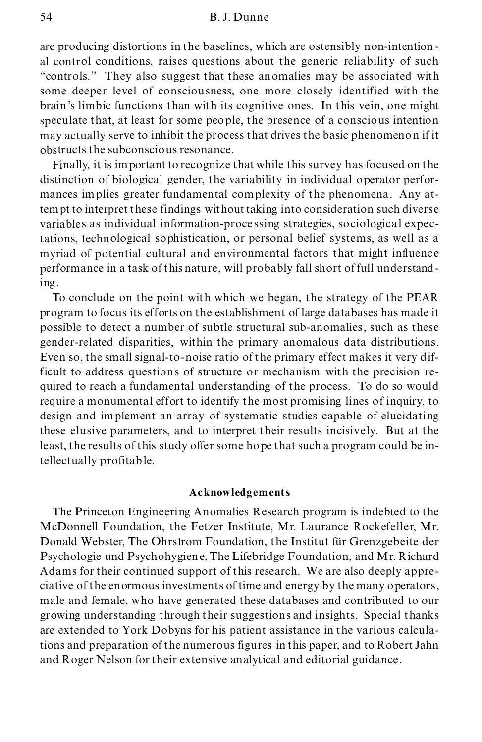#### 54 B. J. Dunne

are producing distortions in the baselines, which are ostensibly non-intention al control conditions, raises questions about the generic reliability of such ª controls.º They also suggest that these anomalies may be associated with some deeper level of consciousness, one more closely identified with the brain 's limbic functions than with its cognitive ones. In this vein, one might speculate that, at least for some people, the presence of a conscious intention may actually serve to inhibit the process that drives the basic phenomenon if it obstructs the subconscious resonance.

Finally, it is important to recognize that while this survey has focused on the distinction of biological gender, the variability in individual operator perfor mances implies greater fundamental complexity of the phenomena. Any attempt to interpret these findings without taking into consideration such diverse variables as individual information-proce ssing strategies, sociological expectations, technological sophistication, or personal belief systems, as well as a myriad of potential cultural and environmental factors that might influence performance in a task of this nature, will probably fall short of full understanding.<br>To conclude on the point with which we began, the strategy of the PEAR

program to focus its efforts on the establishment of large databases has made it possible to detect a number of subtle structural sub-anomalies, such as these gender-related disparities, within the primary anomalous data distributions. Even so, the small signal-to-noise ratio of the primary effect makes it very difficult to address questions of structure or mechanism with the precision re quired to reach a fundamental understanding of the process. To do so would require a monumental effort to identify the most promising lines of inquiry, to design and implement an array of systematic studies capable of elucidating these elusive parameters, and to interpret their results incisively. But at the least, the results of this study offer some hope that such a program could be intellectually profitable.

## **Acknowledgements**

The Princeton Engineering Anomalies Research program is indebted to the McDonnell Foundation, the Fetzer Institute, Mr. Laurance Rockefeller, Mr. Donald Webster, The Ohrstrom Foundation, the Institut für Grenzgebeite der Psychologie und Psychohygiene, The Lifebridge Foundation, and Mr. Richard Adams for their continued support of this research. We are also deeply appre ciative of the enormous investments of time and energy by the many operators, male and female, who have generated these databases and contributed to our growing understanding through their suggestions and insights. Special thanks are extended to York Dobyns for his patient assistance in the various calculations and preparation of the numerous figures in this paper, and to Robert Jahn and Roger Nelson for their extensive analytical and editorial guidance.